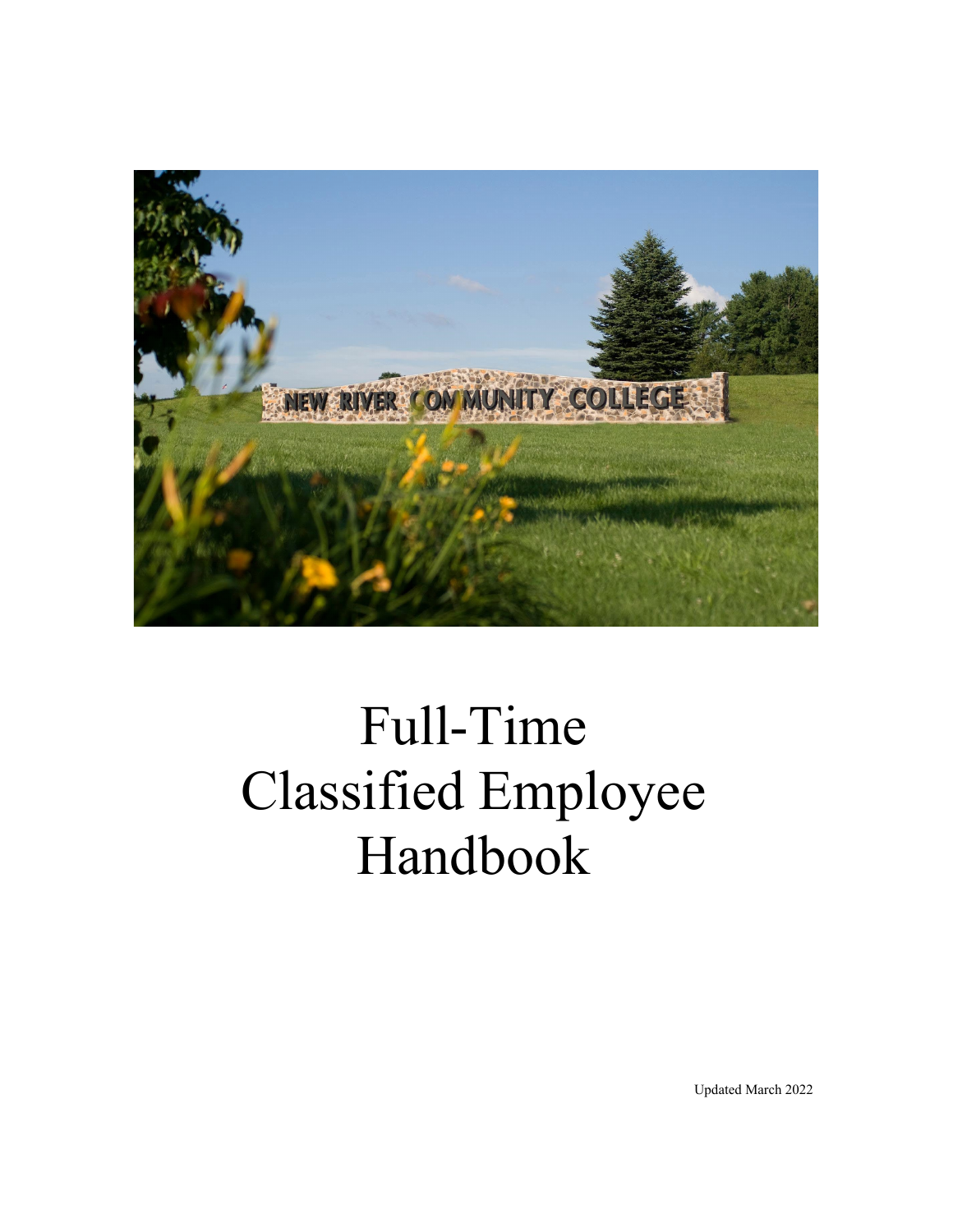

# Classified Employee Full-Time Handbook

Updated March 2022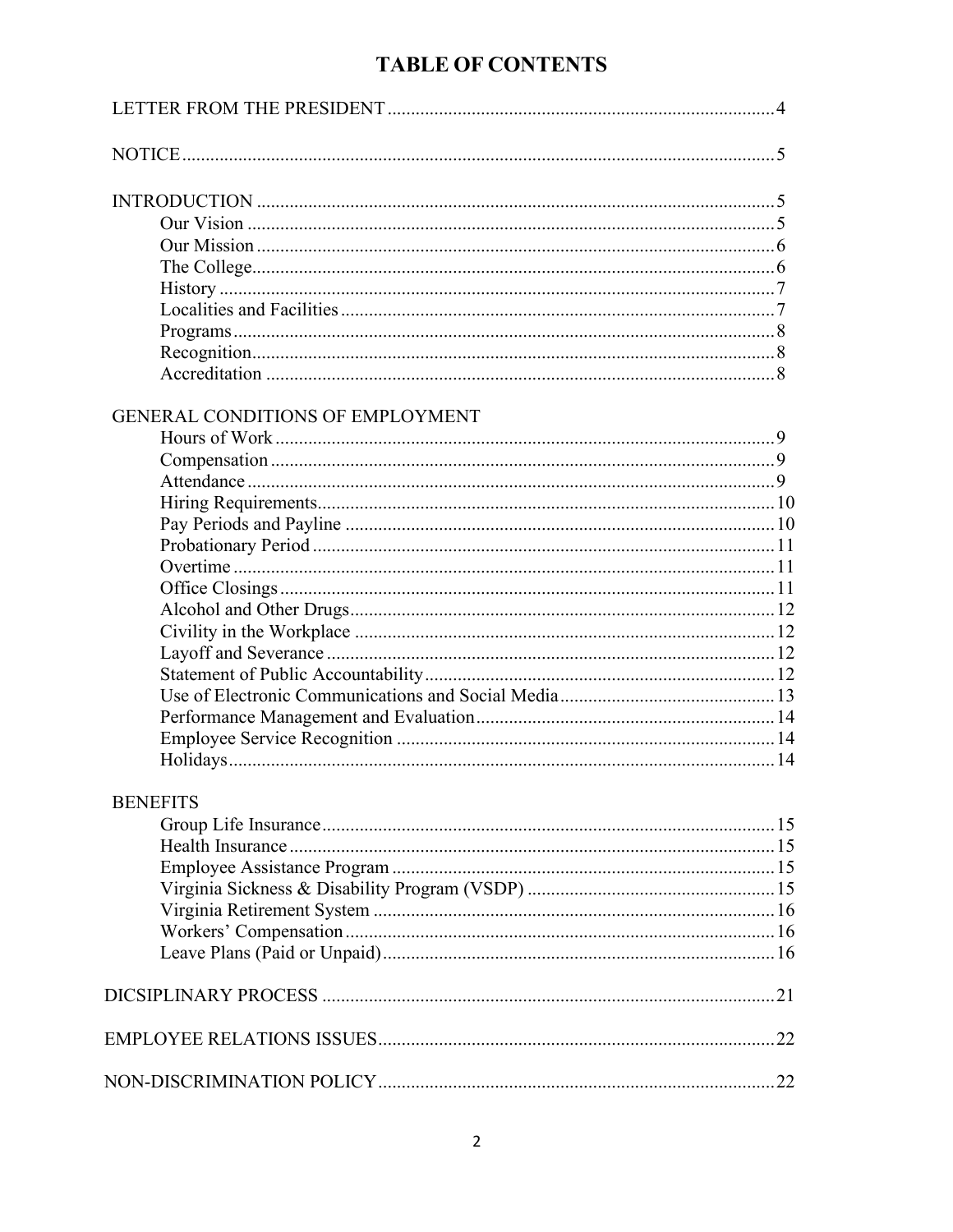# **TABLE OF CONTENTS**

# GENERAL CONDITIONS OF EMPLOYMENT

#### **BENEFITS**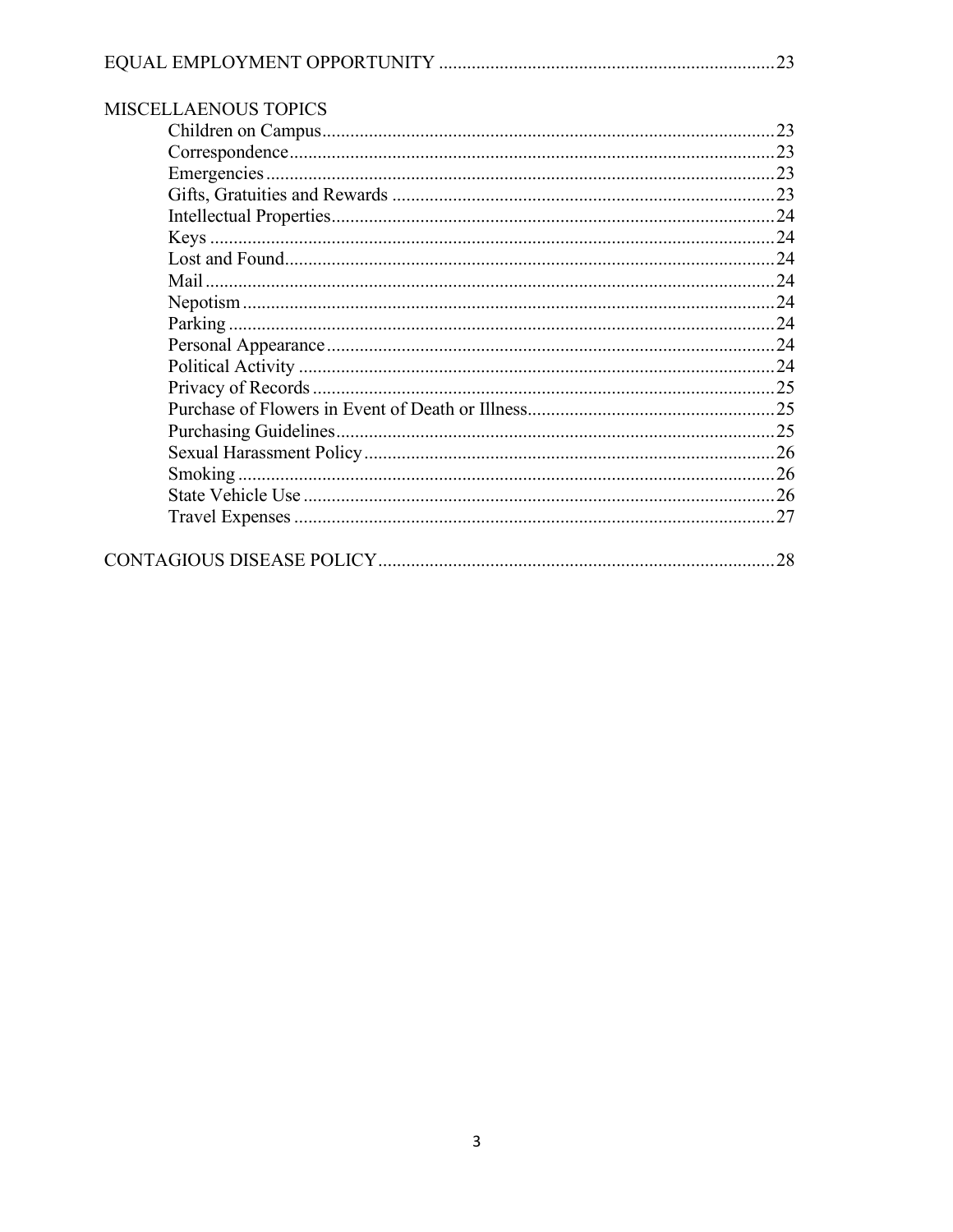| <b>MISCELLAENOUS TOPICS</b> |  |  |
|-----------------------------|--|--|
|                             |  |  |
|                             |  |  |
|                             |  |  |
|                             |  |  |
|                             |  |  |
|                             |  |  |
|                             |  |  |
|                             |  |  |
|                             |  |  |
|                             |  |  |
|                             |  |  |
|                             |  |  |
|                             |  |  |
|                             |  |  |
|                             |  |  |
|                             |  |  |
|                             |  |  |
|                             |  |  |
|                             |  |  |
|                             |  |  |
|                             |  |  |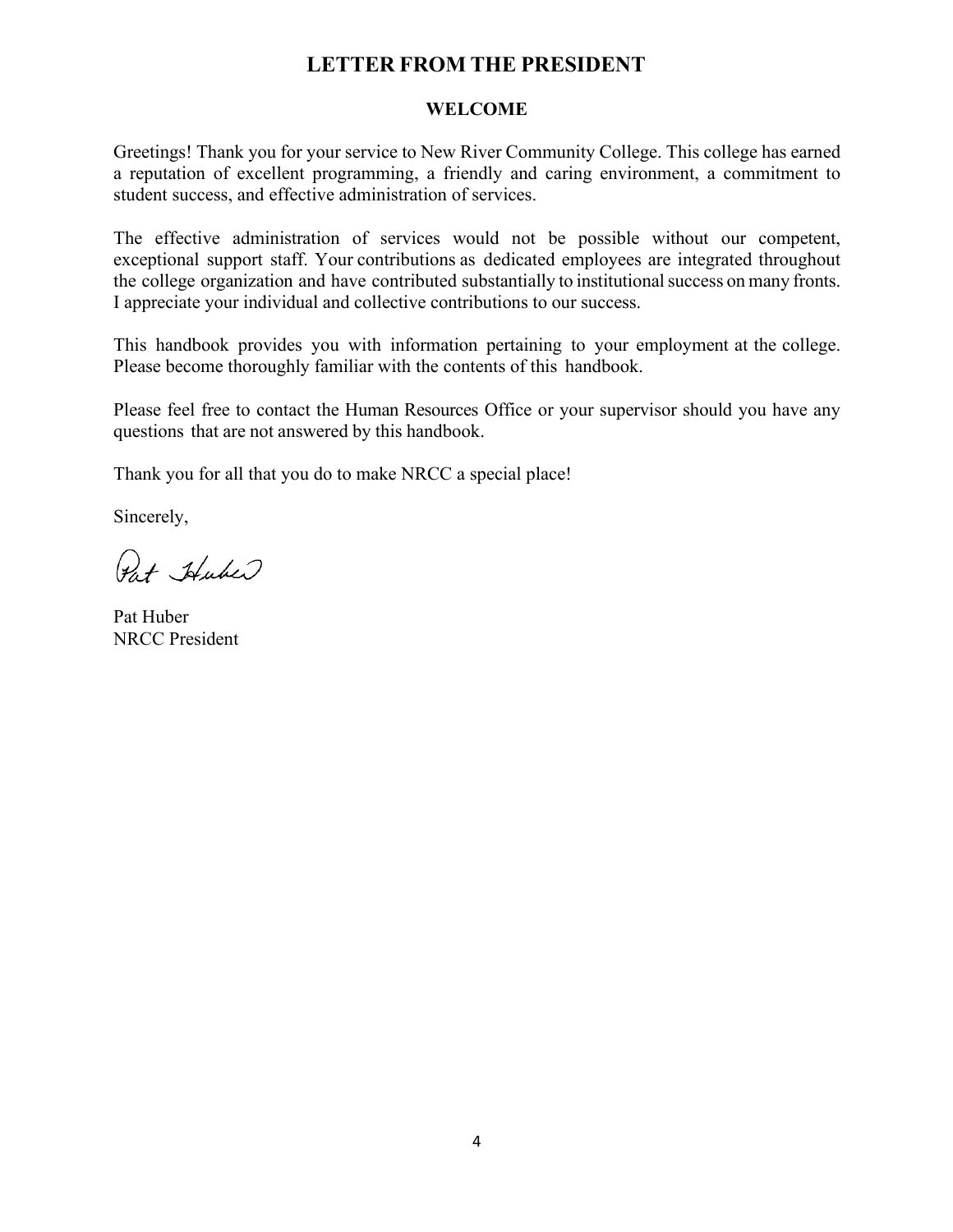# **LETTER FROM THE PRESIDENT**

#### **WELCOME**

<span id="page-3-0"></span>Greetings! Thank you for your service to New River Community College. This college has earned a reputation of excellent programming, a friendly and caring environment, a commitment to student success, and effective administration of services.

 The effective administration of services would not be possible without our competent, exceptional support staff. Your contributions as dedicated employees are integrated throughout the college organization and have contributed substantially to institutional success on many fronts. I appreciate your individual and collective contributions to our success.

 This handbook provides you with information pertaining to your employment at the college. Please become thoroughly familiar with the contents of this handbook.

 Please feel free to contact the Human Resources Office or your supervisor should you have any questions that are not answered by this handbook.

Thank you for all that you do to make NRCC a special place! Sincerely,

Pat Huber

Pat Huber NRCC President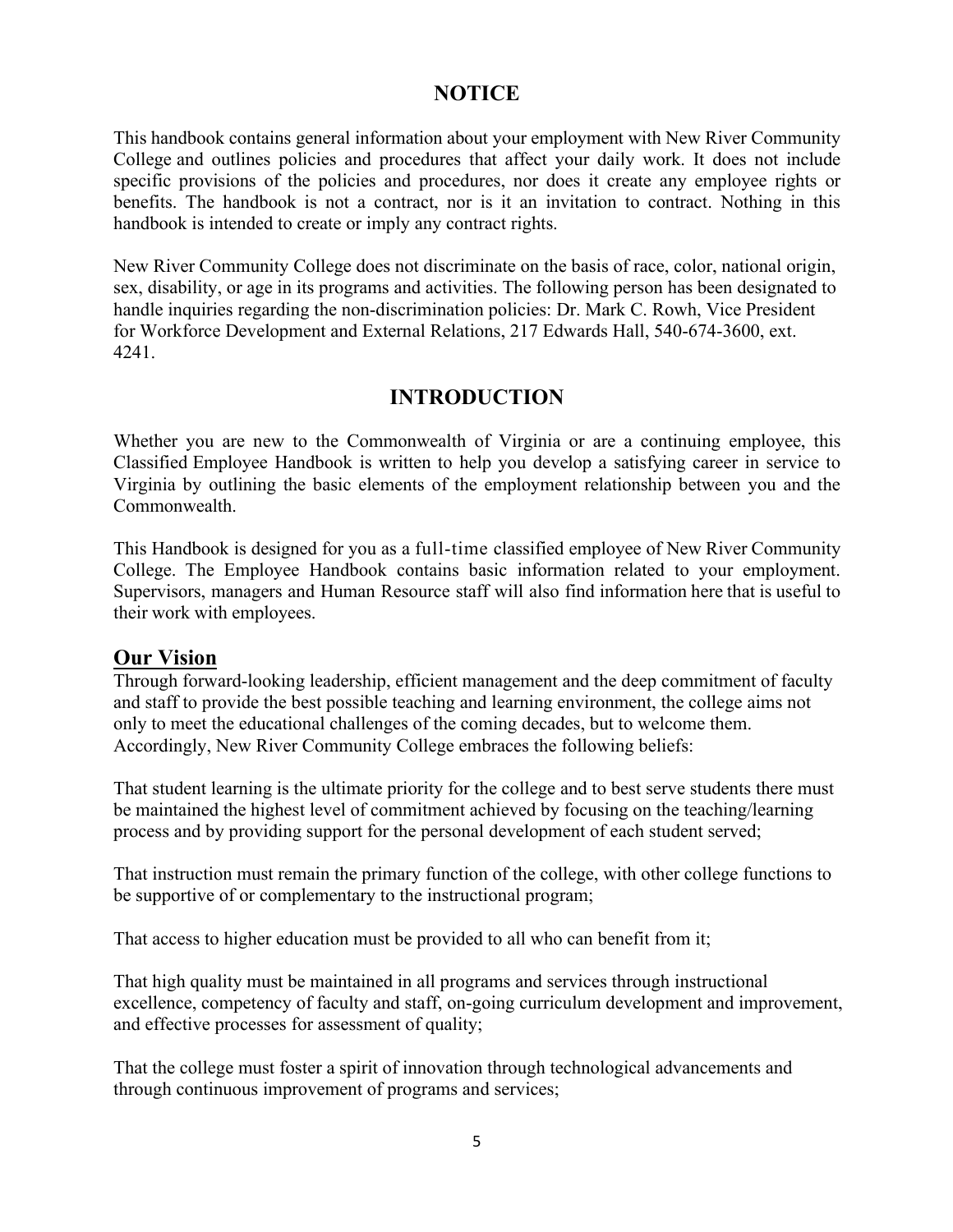# **NOTICE**

<span id="page-4-0"></span> This handbook contains general information about your employment with New River Community College and outlines policies and procedures that affect your daily work. It does not include specific provisions of the policies and procedures, nor does it create any employee rights or benefits. The handbook is not a contract, nor is it an invitation to contract. Nothing in this handbook is intended to create or imply any contract rights.

New River Community College does not discriminate on the basis of race, color, national origin, sex, disability, or age in its programs and activities. The following person has been designated to handle inquiries regarding the non-discrimination policies: Dr. Mark C. Rowh, Vice President for Workforce Development and External Relations, 217 Edwards Hall, 540-674-3600, ext. 4241.

# **INTRODUCTION**

 Whether you are new to the Commonwealth of Virginia or are a continuing employee, this Classified Employee Handbook is written to help you develop a satisfying career in service to Virginia by outlining the basic elements of the employment relationship between you and the Commonwealth.

 This Handbook is designed for you as a full-time classified employee of New River Community College. The Employee Handbook contains basic information related to your employment. Supervisors, managers and Human Resource staff will also find information here that is useful to their work with employees.

# **Our Vision**

 and staff to provide the best possible teaching and learning environment, the college aims not Through forward-looking leadership, efficient management and the deep commitment of faculty only to meet the educational challenges of the coming decades, but to welcome them. Accordingly, New River Community College embraces the following beliefs:

That student learning is the ultimate priority for the college and to best serve students there must be maintained the highest level of commitment achieved by focusing on the teaching/learning process and by providing support for the personal development of each student served;

That instruction must remain the primary function of the college, with other college functions to be supportive of or complementary to the instructional program;

That access to higher education must be provided to all who can benefit from it;

That high quality must be maintained in all programs and services through instructional excellence, competency of faculty and staff, on-going curriculum development and improvement, and effective processes for assessment of quality;

That the college must foster a spirit of innovation through technological advancements and through continuous improvement of programs and services;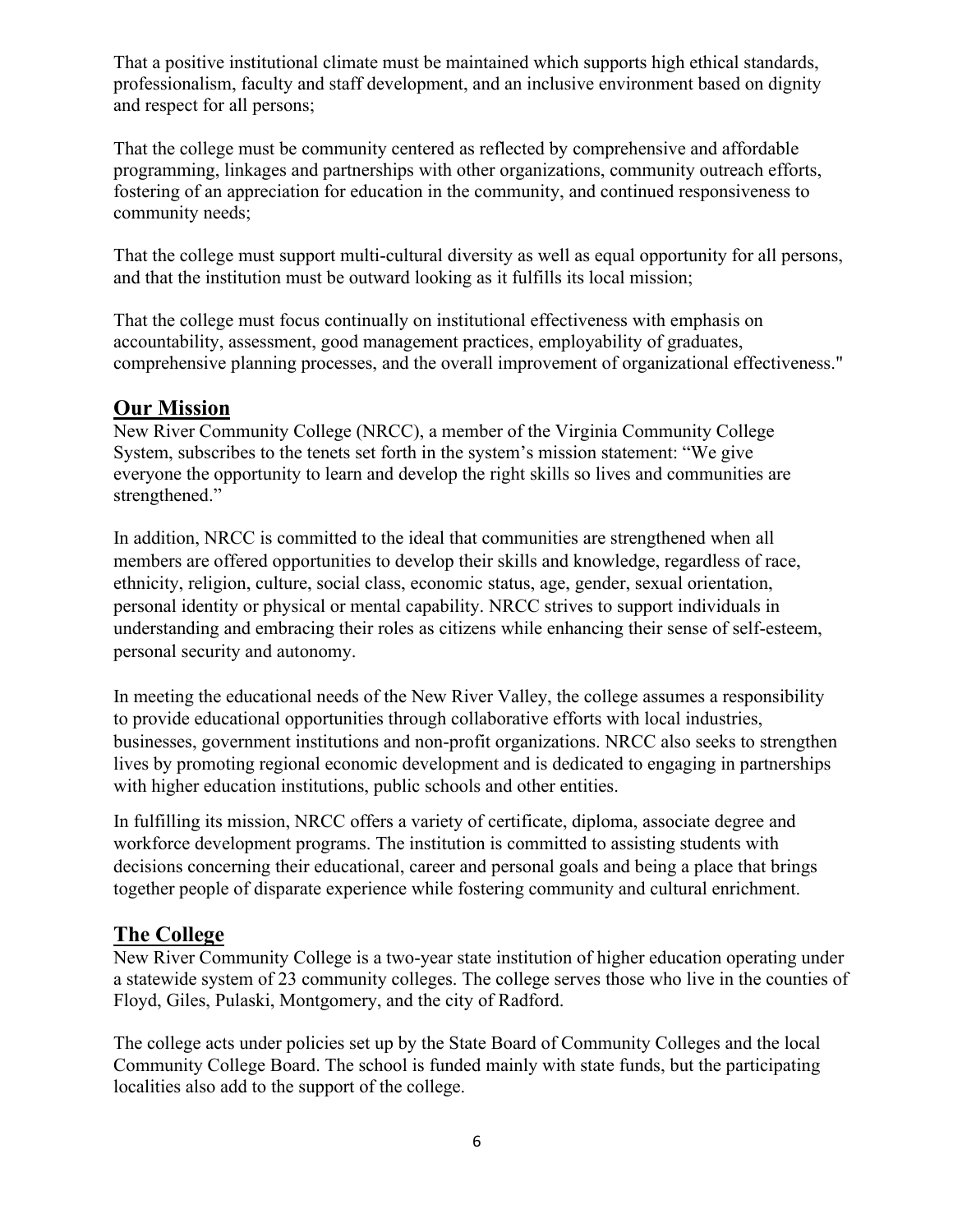<span id="page-5-0"></span> and respect for all persons; That a positive institutional climate must be maintained which supports high ethical standards, professionalism, faculty and staff development, and an inclusive environment based on dignity

That the college must be community centered as reflected by comprehensive and affordable programming, linkages and partnerships with other organizations, community outreach efforts, fostering of an appreciation for education in the community, and continued responsiveness to community needs;

and that the institution must be outward looking as it fulfills its local mission; That the college must support multi-cultural diversity as well as equal opportunity for all persons,

That the college must focus continually on institutional effectiveness with emphasis on accountability, assessment, good management practices, employability of graduates, comprehensive planning processes, and the overall improvement of organizational effectiveness."

# **Our Mission**

New River Community College (NRCC), a member of the Virginia Community College System, subscribes to the tenets set forth in the system's mission statement: "We give everyone the opportunity to learn and develop the right skills so lives and communities are strengthened."

In addition, NRCC is committed to the ideal that communities are strengthened when all members are offered opportunities to develop their skills and knowledge, regardless of race, ethnicity, religion, culture, social class, economic status, age, gender, sexual orientation, personal identity or physical or mental capability. NRCC strives to support individuals in understanding and embracing their roles as citizens while enhancing their sense of self-esteem, personal security and autonomy.

In meeting the educational needs of the New River Valley, the college assumes a responsibility to provide educational opportunities through collaborative efforts with local industries, businesses, government institutions and non-profit organizations. NRCC also seeks to strengthen lives by promoting regional economic development and is dedicated to engaging in partnerships with higher education institutions, public schools and other entities.

In fulfilling its mission, NRCC offers a variety of certificate, diploma, associate degree and workforce development programs. The institution is committed to assisting students with decisions concerning their educational, career and personal goals and being a place that brings together people of disparate experience while fostering community and cultural enrichment.

# **The College**

New River Community College is a two-year state institution of higher education operating under a statewide system of 23 community colleges. The college serves those who live in the counties of Floyd, Giles, Pulaski, Montgomery, and the city of Radford.

The college acts under policies set up by the State Board of Community Colleges and the local Community College Board. The school is funded mainly with state funds, but the participating localities also add to the support of the college.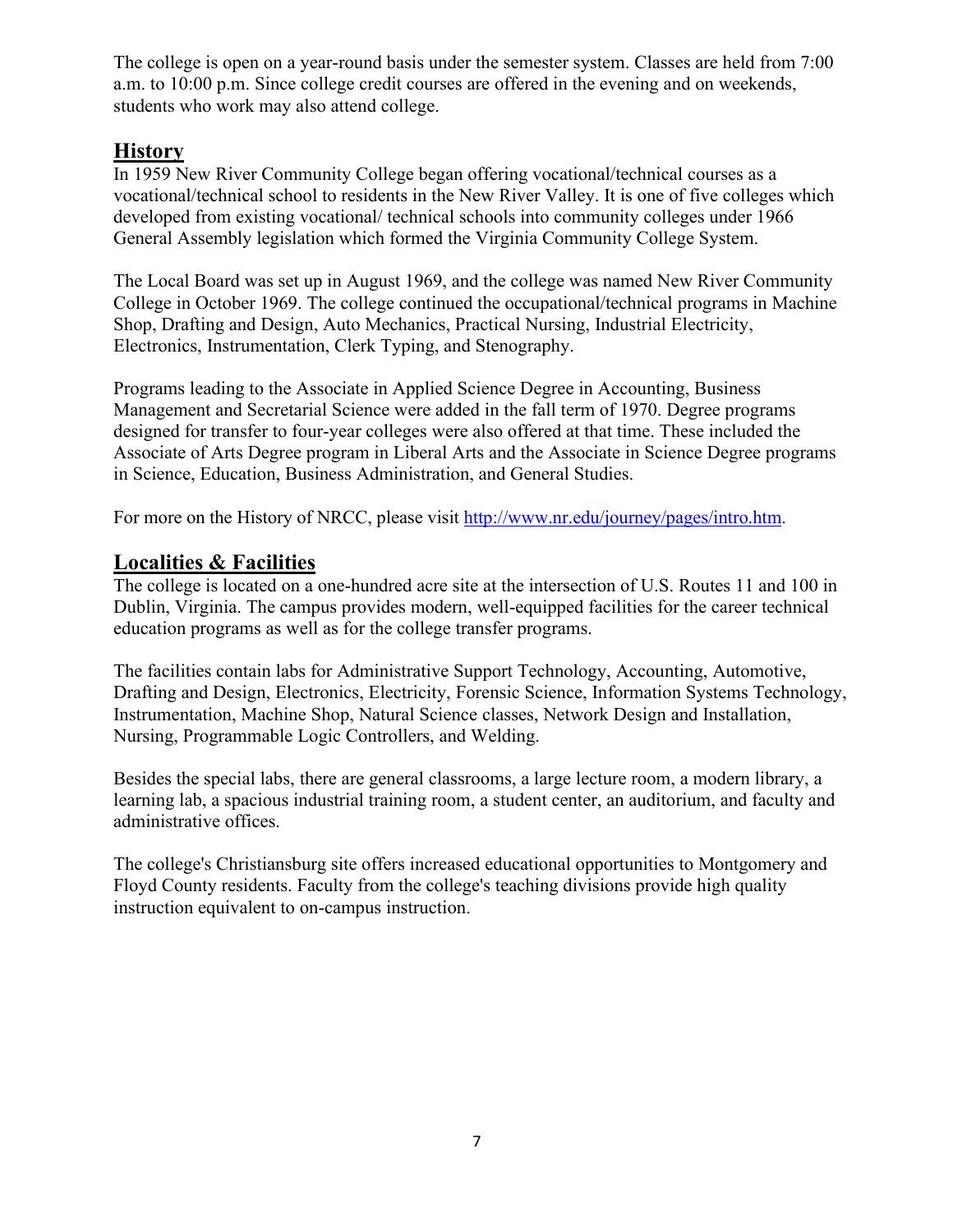<span id="page-6-0"></span>The college is open on a year-round basis under the semester system. Classes are held from 7:00 a.m. to 10:00 p.m. Since college credit courses are offered in the evening and on weekends, students who work may also attend college.

# **History**

 In 1959 New River Community College began offering vocational/technical courses as a vocational/technical school to residents in the New River Valley. It is one of five colleges which developed from existing vocational/ technical schools into community colleges under 1966 General Assembly legislation which formed the Virginia Community College System.

The Local Board was set up in August 1969, and the college was named New River Community College in October 1969. The college continued the occupational/technical programs in Machine Shop, Drafting and Design, Auto Mechanics, Practical Nursing, Industrial Electricity, Electronics, Instrumentation, Clerk Typing, and Stenography.

Programs leading to the Associate in Applied Science Degree in Accounting, Business Management and Secretarial Science were added in the fall term of 1970. Degree programs designed for transfer to four-year colleges were also offered at that time. These included the Associate of Arts Degree program in Liberal Arts and the Associate in Science Degree programs in Science, Education, Business Administration, and General Studies.

For more on the History of NRCC, please visit [http://www.nr.edu/journey/pages/intro.htm.](http://www.nr.edu/journey/pages/intro.htm)

# **Localities & Facilities**

The college is located on a one-hundred acre site at the intersection of U.S. Routes 11 and 100 in Dublin, Virginia. The campus provides modern, well-equipped facilities for the career technical education programs as well as for the college transfer programs.

The facilities contain labs for Administrative Support Technology, Accounting, Automotive, Drafting and Design, Electronics, Electricity, Forensic Science, Information Systems Technology, Instrumentation, Machine Shop, Natural Science classes, Network Design and Installation, Nursing, Programmable Logic Controllers, and Welding.

 administrative offices. Besides the special labs, there are general classrooms, a large lecture room, a modern library, a learning lab, a spacious industrial training room, a student center, an auditorium, and faculty and

The college's Christiansburg site offers increased educational opportunities to Montgomery and Floyd County residents. Faculty from the college's teaching divisions provide high quality instruction equivalent to on-campus instruction.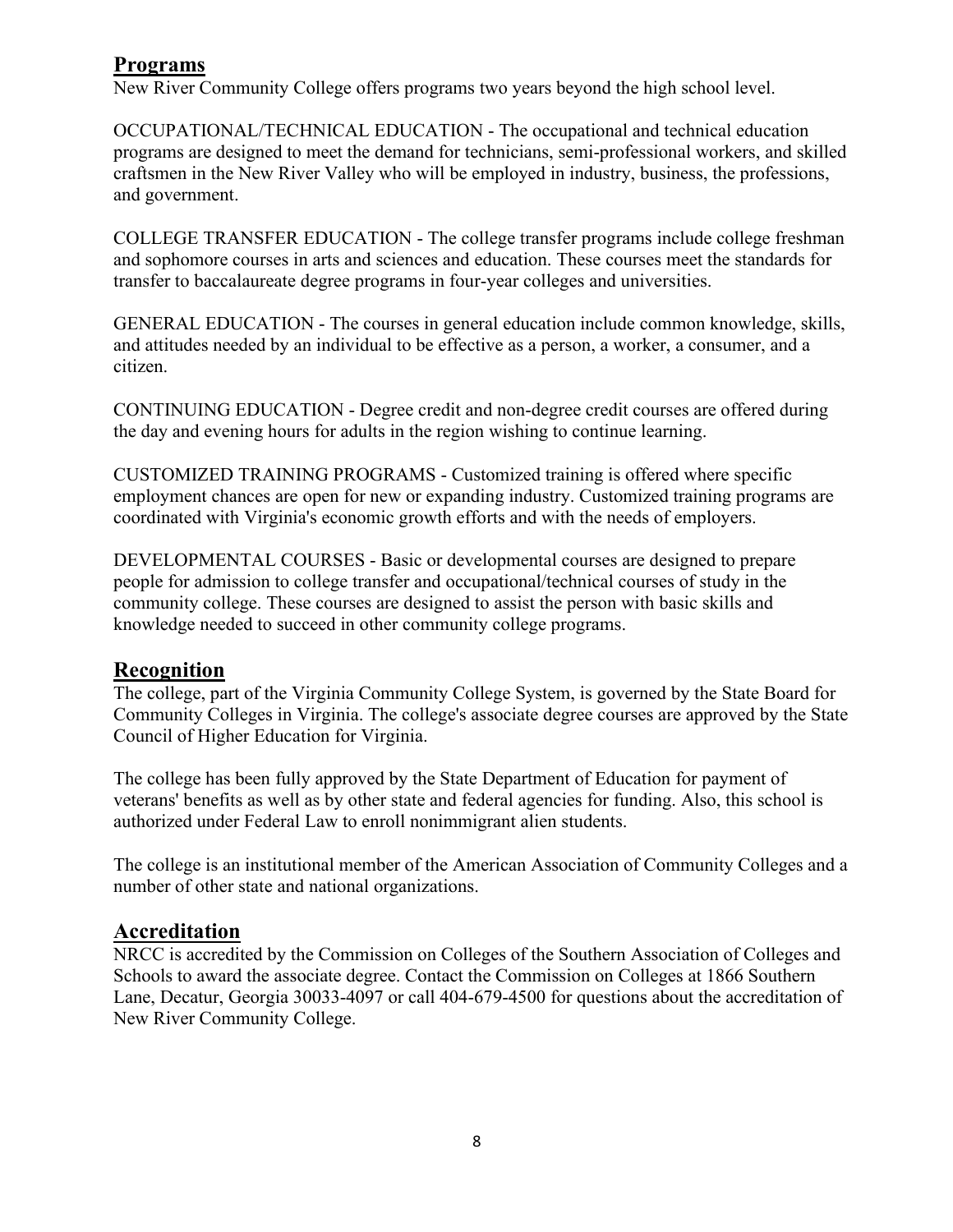# <span id="page-7-0"></span>**Programs**

New River Community College offers programs two years beyond the high school level.

OCCUPATIONAL/TECHNICAL EDUCATION - The occupational and technical education programs are designed to meet the demand for technicians, semi-professional workers, and skilled craftsmen in the New River Valley who will be employed in industry, business, the professions, and government.

 and sophomore courses in arts and sciences and education. These courses meet the standards for COLLEGE TRANSFER EDUCATION - The college transfer programs include college freshman transfer to baccalaureate degree programs in four-year colleges and universities.

GENERAL EDUCATION - The courses in general education include common knowledge, skills, and attitudes needed by an individual to be effective as a person, a worker, a consumer, and a citizen.

CONTINUING EDUCATION - Degree credit and non-degree credit courses are offered during the day and evening hours for adults in the region wishing to continue learning.

 coordinated with Virginia's economic growth efforts and with the needs of employers. CUSTOMIZED TRAINING PROGRAMS - Customized training is offered where specific employment chances are open for new or expanding industry. Customized training programs are

 community college. These courses are designed to assist the person with basic skills and DEVELOPMENTAL COURSES - Basic or developmental courses are designed to prepare people for admission to college transfer and occupational/technical courses of study in the knowledge needed to succeed in other community college programs.

# **Recognition**

The college, part of the Virginia Community College System, is governed by the State Board for Community Colleges in Virginia. The college's associate degree courses are approved by the State Council of Higher Education for Virginia.

The college has been fully approved by the State Department of Education for payment of veterans' benefits as well as by other state and federal agencies for funding. Also, this school is authorized under Federal Law to enroll nonimmigrant alien students.

The college is an institutional member of the American Association of Community Colleges and a number of other state and national organizations.

# **Accreditation**

NRCC is accredited by the Commission on Colleges of the Southern Association of Colleges and Schools to award the associate degree. Contact the Commission on Colleges at 1866 Southern Lane, Decatur, Georgia 30033-4097 or call 404-679-4500 for questions about the accreditation of New River Community College.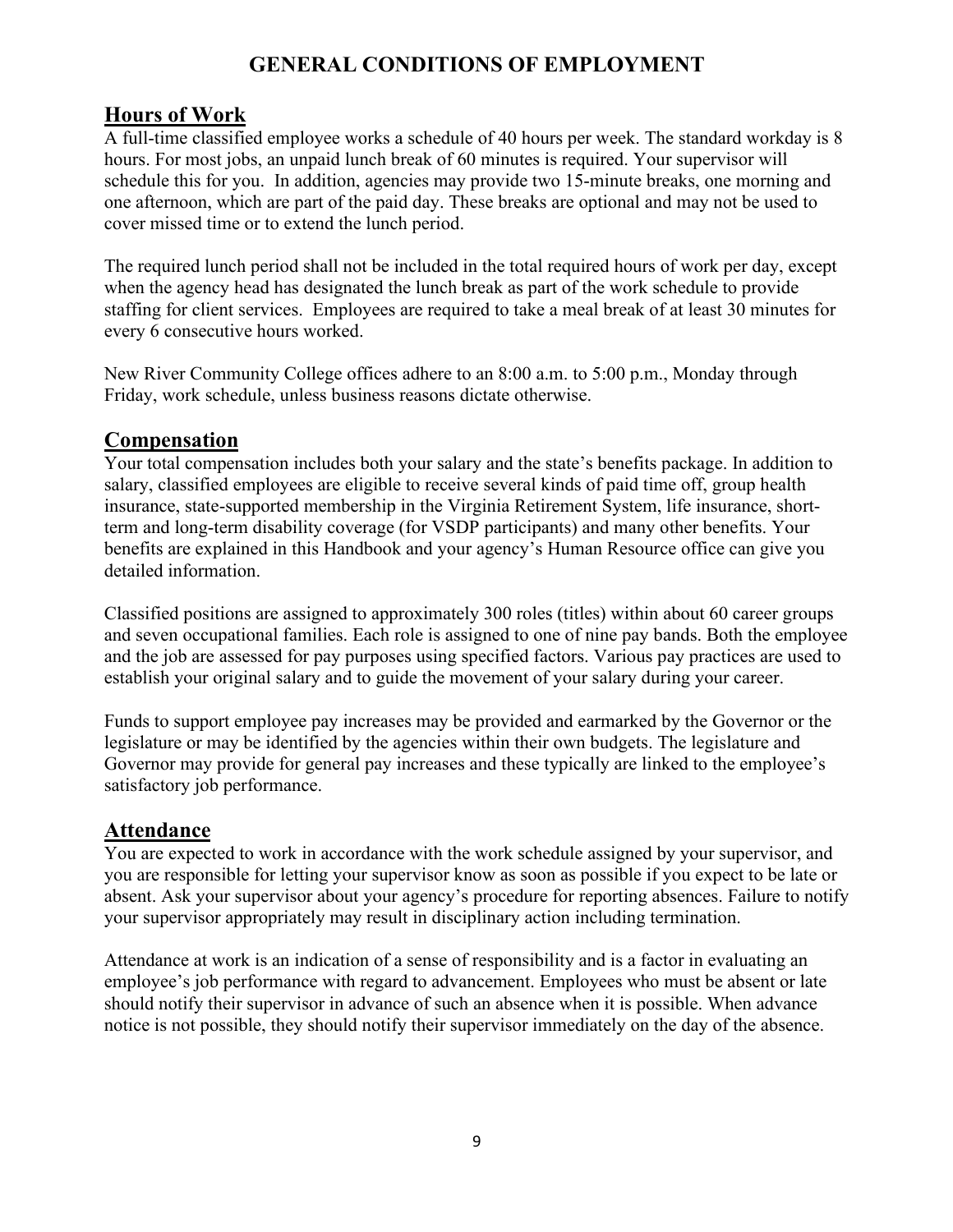# **GENERAL CONDITIONS OF EMPLOYMENT**

# <span id="page-8-0"></span>**Hours of Work**

 one afternoon, which are part of the paid day. These breaks are optional and may not be used to A full-time classified employee works a schedule of 40 hours per week. The standard workday is 8 hours. For most jobs, an unpaid lunch break of 60 minutes is required. Your supervisor will schedule this for you. In addition, agencies may provide two 15-minute breaks, one morning and cover missed time or to extend the lunch period.

The required lunch period shall not be included in the total required hours of work per day, except when the agency head has designated the lunch break as part of the work schedule to provide staffing for client services. Employees are required to take a meal break of at least 30 minutes for every 6 consecutive hours worked.

New River Community College offices adhere to an 8:00 a.m. to 5:00 p.m., Monday through Friday, work schedule, unless business reasons dictate otherwise.

# **Compensation**

 benefits are explained in this Handbook and your agency's Human Resource office can give you Your total compensation includes both your salary and the state's benefits package. In addition to salary, classified employees are eligible to receive several kinds of paid time off, group health insurance, state-supported membership in the Virginia Retirement System, life insurance, shortterm and long-term disability coverage (for VSDP participants) and many other benefits. Your detailed information.

Classified positions are assigned to approximately 300 roles (titles) within about 60 career groups and seven occupational families. Each role is assigned to one of nine pay bands. Both the employee and the job are assessed for pay purposes using specified factors. Various pay practices are used to establish your original salary and to guide the movement of your salary during your career.

Funds to support employee pay increases may be provided and earmarked by the Governor or the legislature or may be identified by the agencies within their own budgets. The legislature and Governor may provide for general pay increases and these typically are linked to the employee's satisfactory job performance.

# **Attendance**

You are expected to work in accordance with the work schedule assigned by your supervisor, and you are responsible for letting your supervisor know as soon as possible if you expect to be late or absent. Ask your supervisor about your agency's procedure for reporting absences. Failure to notify your supervisor appropriately may result in disciplinary action including termination.

Attendance at work is an indication of a sense of responsibility and is a factor in evaluating an employee's job performance with regard to advancement. Employees who must be absent or late should notify their supervisor in advance of such an absence when it is possible. When advance notice is not possible, they should notify their supervisor immediately on the day of the absence.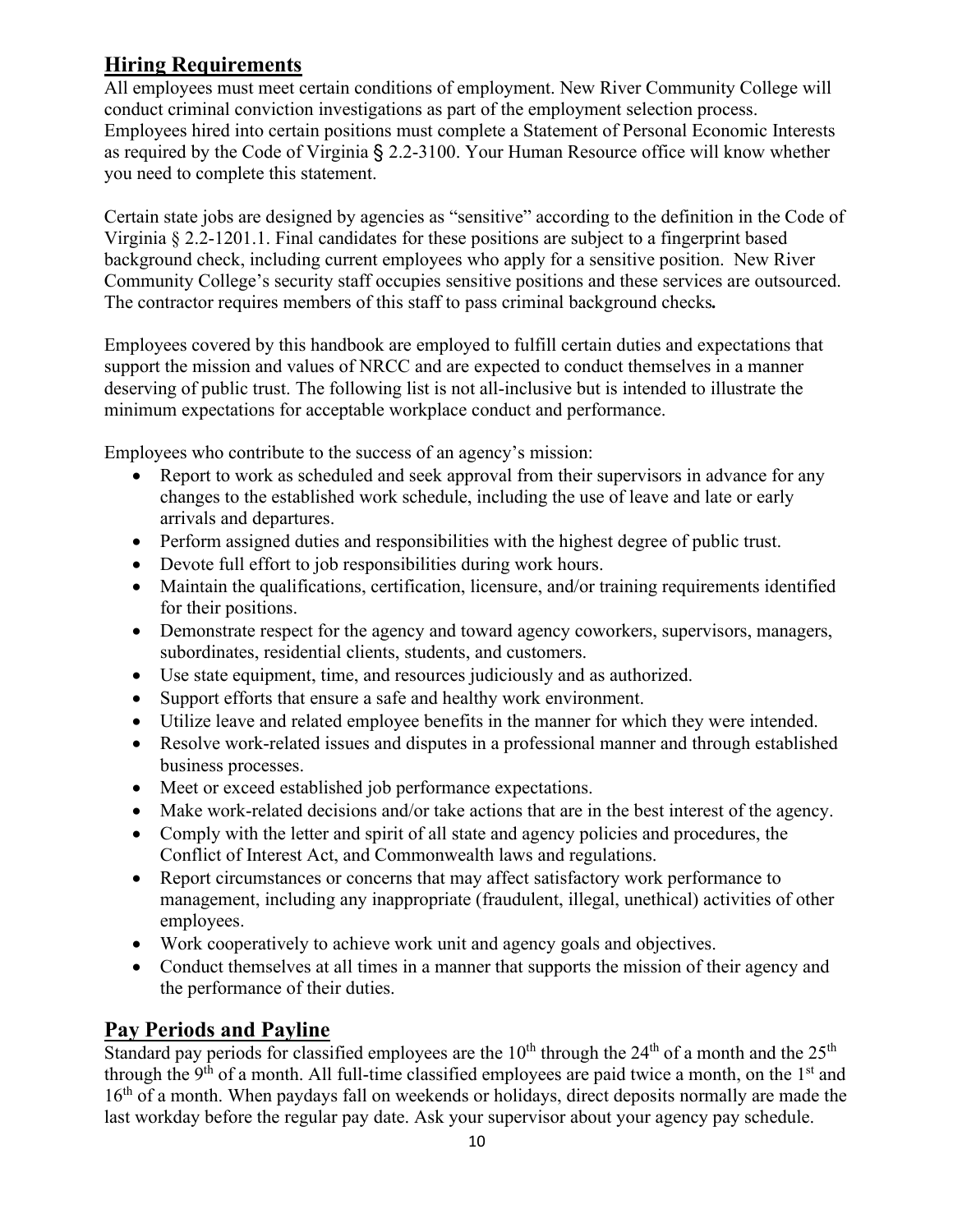# <span id="page-9-0"></span>**Hiring Requirements**

 Employees hired into certain positions must complete a Statement of Personal Economic Interests as required by the Code of Virginia § 2.2-3100. Your Human Resource office will know whether All employees must meet certain conditions of employment. New River Community College will conduct criminal conviction investigations as part of the employment selection process. you need to complete this statement.

Certain state jobs are designed by agencies as "sensitive" according to the definition in the Code of Virginia § 2.2-1201.1. Final candidates for these positions are subject to a fingerprint based background check, including current employees who apply for a sensitive position. New River Community College's security staff occupies sensitive positions and these services are outsourced. The contractor requires members of this staff to pass criminal background checks*.* 

 support the mission and values of NRCC and are expected to conduct themselves in a manner Employees covered by this handbook are employed to fulfill certain duties and expectations that deserving of public trust. The following list is not all-inclusive but is intended to illustrate the minimum expectations for acceptable workplace conduct and performance.

Employees who contribute to the success of an agency's mission:

- Report to work as scheduled and seek approval from their supervisors in advance for any changes to the established work schedule, including the use of leave and late or early arrivals and departures.
- Perform assigned duties and responsibilities with the highest degree of public trust.
- Devote full effort to job responsibilities during work hours.
- Maintain the qualifications, certification, licensure, and/or training requirements identified for their positions.
- Demonstrate respect for the agency and toward agency coworkers, supervisors, managers, subordinates, residential clients, students, and customers.
- Use state equipment, time, and resources judiciously and as authorized.
- Support efforts that ensure a safe and healthy work environment.
- Utilize leave and related employee benefits in the manner for which they were intended.
- Resolve work-related issues and disputes in a professional manner and through established business processes.
- Meet or exceed established job performance expectations.
- Make work-related decisions and/or take actions that are in the best interest of the agency.
- Comply with the letter and spirit of all state and agency policies and procedures, the Conflict of Interest Act, and Commonwealth laws and regulations.
- Report circumstances or concerns that may affect satisfactory work performance to management, including any inappropriate (fraudulent, illegal, unethical) activities of other employees.
- Work cooperatively to achieve work unit and agency goals and objectives.
- Conduct themselves at all times in a manner that supports the mission of their agency and the performance of their duties.

# **Pay Periods and Payline**

Standard pay periods for classified employees are the  $10<sup>th</sup>$  through the  $24<sup>th</sup>$  of a month and the  $25<sup>th</sup>$ through the 9<sup>th</sup> of a month. All full-time classified employees are paid twice a month, on the 1<sup>st</sup> and 16<sup>th</sup> of a month. When paydays fall on weekends or holidays, direct deposits normally are made the last workday before the regular pay date. Ask your supervisor about your agency pay schedule.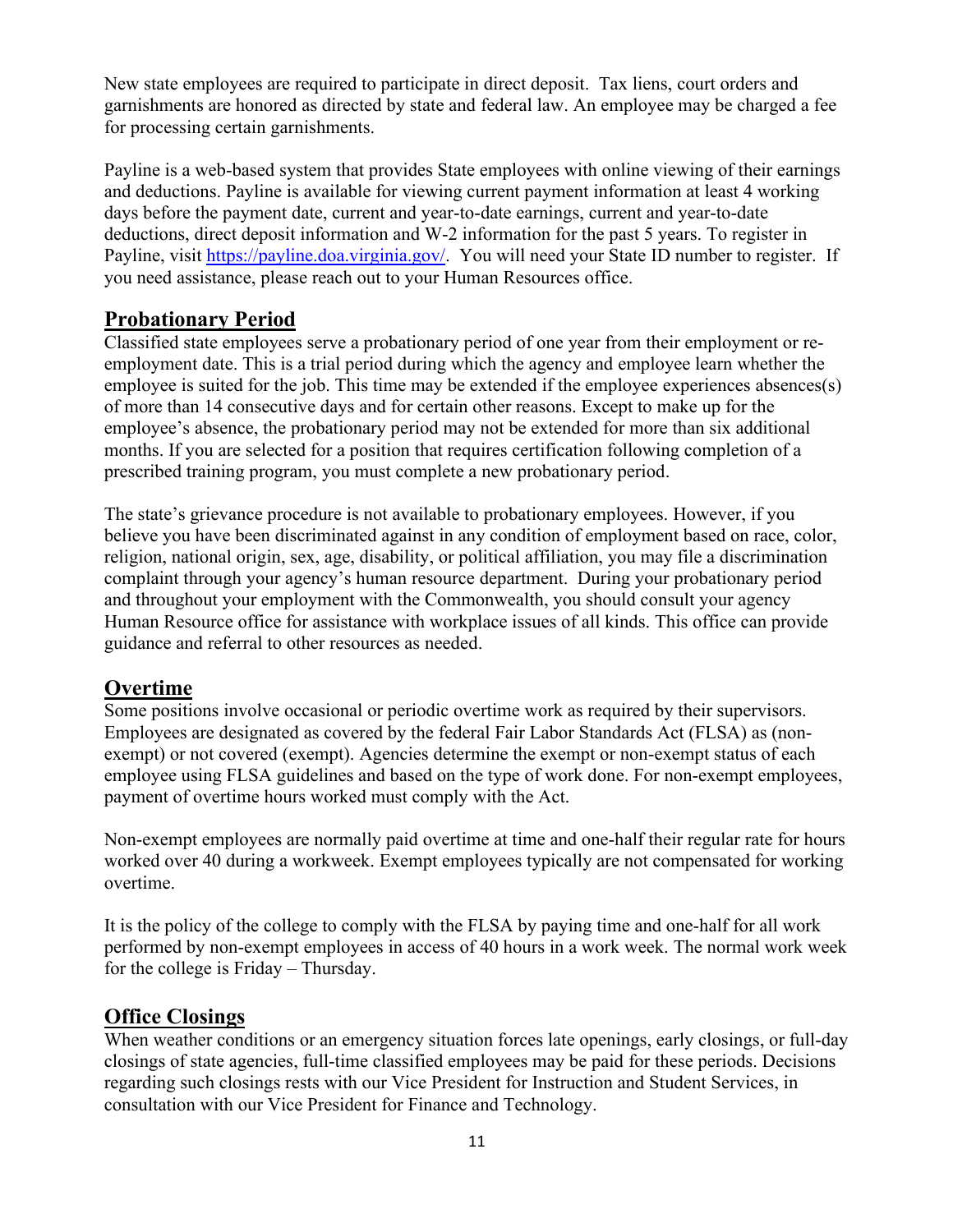<span id="page-10-0"></span>New state employees are required to participate in direct deposit. Tax liens, court orders and garnishments are honored as directed by state and federal law. An employee may be charged a fee for processing certain garnishments.

Payline is a web-based system that provides State employees with online viewing of their earnings and deductions. Payline is available for viewing current payment information at least 4 working days before the payment date, current and year-to-date earnings, current and year-to-date deductions, direct deposit information and W-2 information for the past 5 years. To register in Payline, visit [https://payline.doa.virginia.gov/.](https://payline.doa.virginia.gov/) You will need your State ID number to register. If you need assistance, please reach out to your Human Resources office.

# **Probationary Period**

Classified state employees serve a probationary period of one year from their employment or reemployment date. This is a trial period during which the agency and employee learn whether the employee is suited for the job. This time may be extended if the employee experiences absences(s) of more than 14 consecutive days and for certain other reasons. Except to make up for the employee's absence, the probationary period may not be extended for more than six additional months. If you are selected for a position that requires certification following completion of a prescribed training program, you must complete a new probationary period.

The state's grievance procedure is not available to probationary employees. However, if you believe you have been discriminated against in any condition of employment based on race, color, religion, national origin, sex, age, disability, or political affiliation, you may file a discrimination complaint through your agency's human resource department. During your probationary period and throughout your employment with the Commonwealth, you should consult your agency Human Resource office for assistance with workplace issues of all kinds. This office can provide guidance and referral to other resources as needed.

# **Overtime**

Some positions involve occasional or periodic overtime work as required by their supervisors. Employees are designated as covered by the federal Fair Labor Standards Act (FLSA) as (nonexempt) or not covered (exempt). Agencies determine the exempt or non-exempt status of each employee using FLSA guidelines and based on the type of work done. For non-exempt employees, payment of overtime hours worked must comply with the Act.

Non-exempt employees are normally paid overtime at time and one-half their regular rate for hours worked over 40 during a workweek. Exempt employees typically are not compensated for working overtime.

It is the policy of the college to comply with the FLSA by paying time and one-half for all work performed by non-exempt employees in access of 40 hours in a work week. The normal work week for the college is Friday – Thursday.

# **Office Closings**

When weather conditions or an emergency situation forces late openings, early closings, or full-day closings of state agencies, full-time classified employees may be paid for these periods. Decisions regarding such closings rests with our Vice President for Instruction and Student Services, in consultation with our Vice President for Finance and Technology.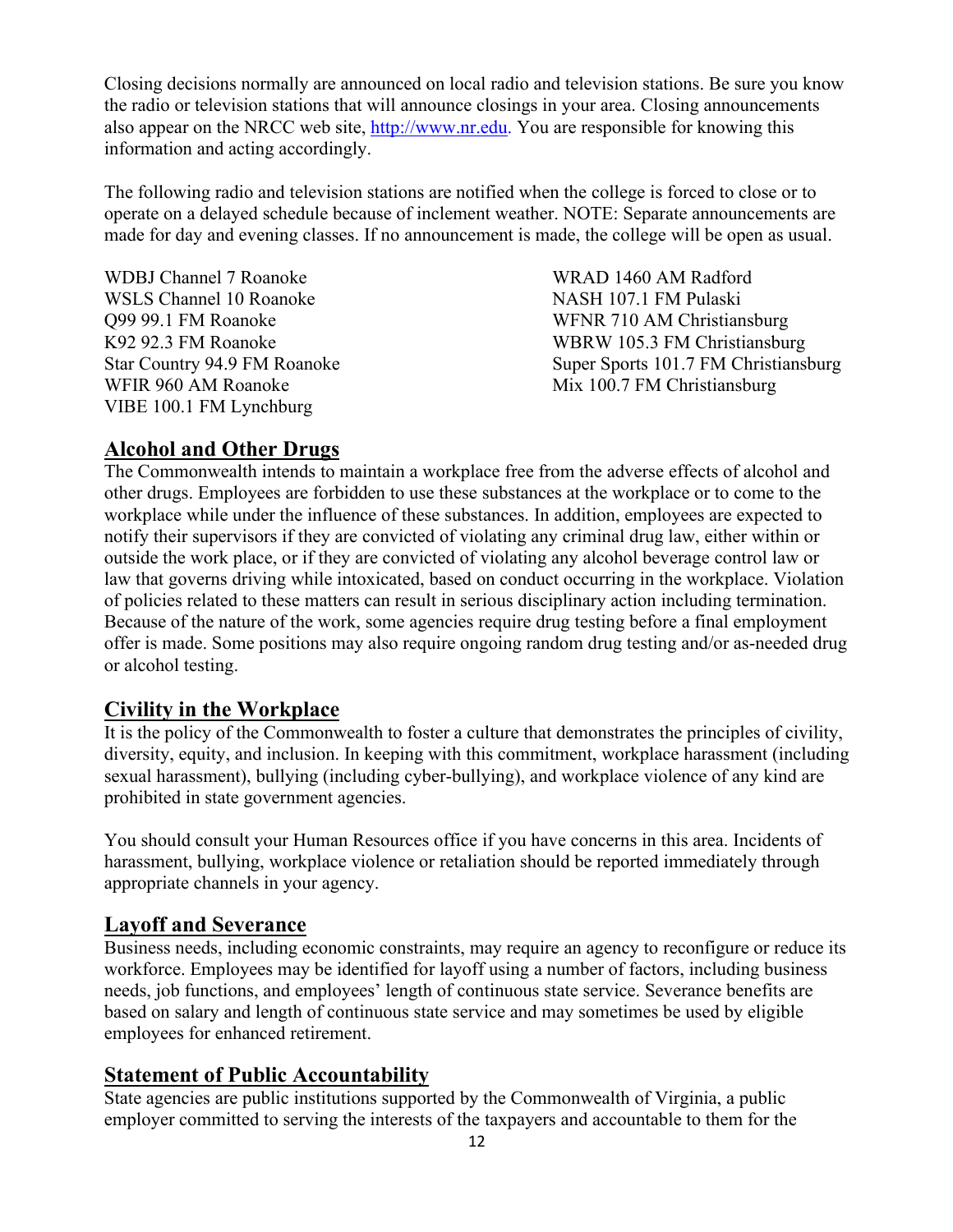<span id="page-11-0"></span>Closing decisions normally are announced on local radio and television stations. Be sure you know the radio or television stations that will announce closings in your area. Closing announcements also appear on the NRCC web site, [http://www.nr.edu.](http://www.nr.edu/) You are responsible for knowing this information and acting accordingly.

The following radio and television stations are notified when the college is forced to close or to operate on a delayed schedule because of inclement weather. NOTE: Separate announcements are made for day and evening classes. If no announcement is made, the college will be open as usual.

WDBJ Channel 7 Roanoke WRAD 1460 AM Radford WSLS Channel 10 Roanoke NASH 107.1 FM Pulaski Q99 99.1 FM Roanoke **Star Country 94.9 FM Roanoke** WFIR 960 AM Roanoke VIBE 100.1 FM Lynchburg

WFNR 710 AM Christiansburg K92 92.3 FM Roanoke WBRW 105.3 FM Christiansburg Super Sports 101.7 FM Christiansburg Mix 100.7 FM Christiansburg

# **Alcohol and Other Drugs**

The Commonwealth intends to maintain a workplace free from the adverse effects of alcohol and other drugs. Employees are forbidden to use these substances at the workplace or to come to the workplace while under the influence of these substances. In addition, employees are expected to notify their supervisors if they are convicted of violating any criminal drug law, either within or outside the work place, or if they are convicted of violating any alcohol beverage control law or law that governs driving while intoxicated, based on conduct occurring in the workplace. Violation of policies related to these matters can result in serious disciplinary action including termination. Because of the nature of the work, some agencies require drug testing before a final employment offer is made. Some positions may also require ongoing random drug testing and/or as-needed drug or alcohol testing.

# **Civility in the Workplace**

 sexual harassment), bullying (including cyber-bullying), and workplace violence of any kind are It is the policy of the Commonwealth to foster a culture that demonstrates the principles of civility, diversity, equity, and inclusion. In keeping with this commitment, workplace harassment (including prohibited in state government agencies.

You should consult your Human Resources office if you have concerns in this area. Incidents of harassment, bullying, workplace violence or retaliation should be reported immediately through appropriate channels in your agency.

#### **Layoff and Severance**

Business needs, including economic constraints, may require an agency to reconfigure or reduce its workforce. Employees may be identified for layoff using a number of factors, including business needs, job functions, and employees' length of continuous state service. Severance benefits are based on salary and length of continuous state service and may sometimes be used by eligible employees for enhanced retirement.

#### **Statement of Public Accountability**

 State agencies are public institutions supported by the Commonwealth of Virginia, a public employer committed to serving the interests of the taxpayers and accountable to them for the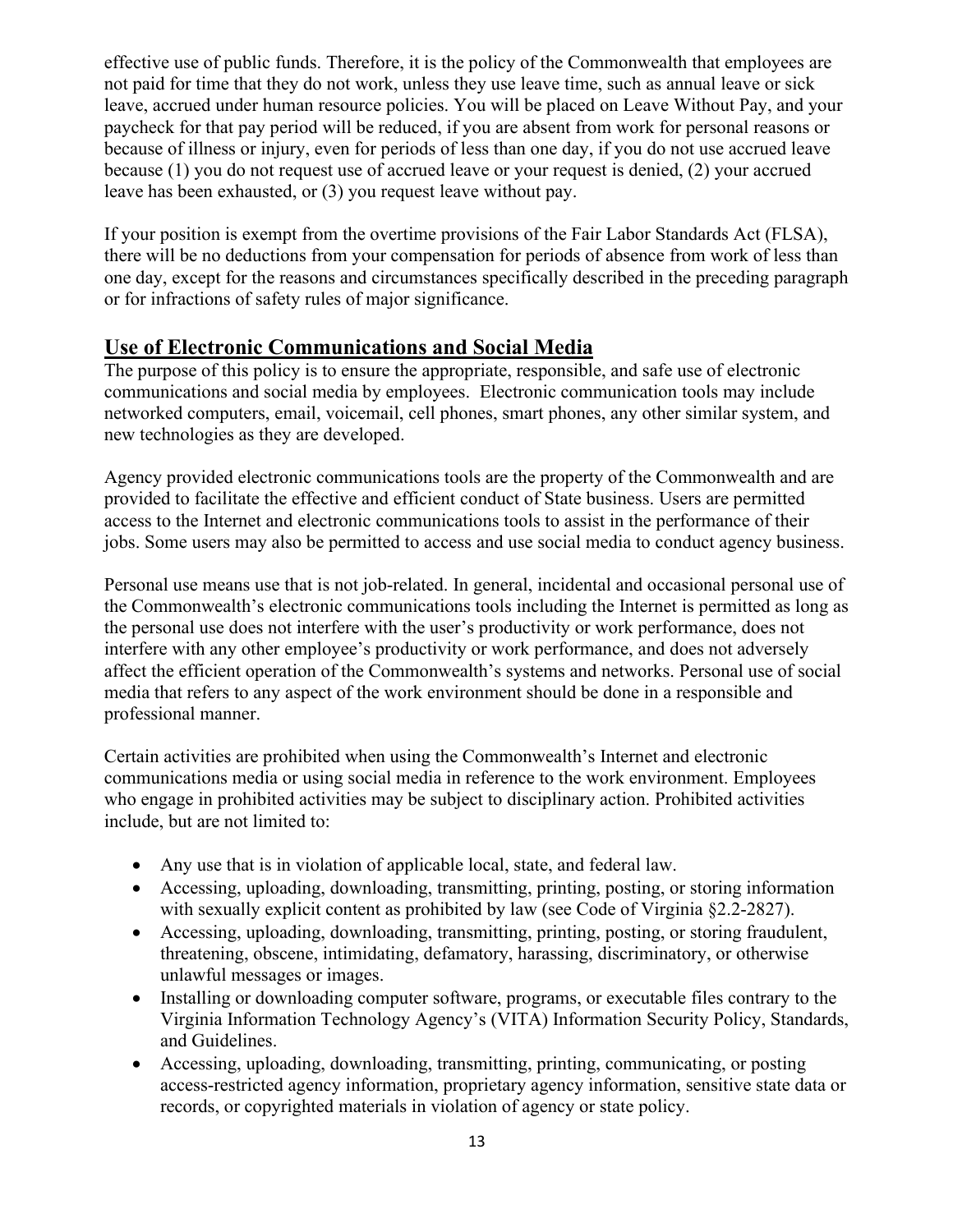<span id="page-12-0"></span>effective use of public funds. Therefore, it is the policy of the Commonwealth that employees are not paid for time that they do not work, unless they use leave time, such as annual leave or sick leave, accrued under human resource policies. You will be placed on Leave Without Pay, and your paycheck for that pay period will be reduced, if you are absent from work for personal reasons or because of illness or injury, even for periods of less than one day, if you do not use accrued leave because (1) you do not request use of accrued leave or your request is denied, (2) your accrued leave has been exhausted, or (3) you request leave without pay.

If your position is exempt from the overtime provisions of the Fair Labor Standards Act (FLSA), there will be no deductions from your compensation for periods of absence from work of less than one day, except for the reasons and circumstances specifically described in the preceding paragraph or for infractions of safety rules of major significance.

# **Use of Electronic Communications and Social Media**

The purpose of this policy is to ensure the appropriate, responsible, and safe use of electronic communications and social media by employees. Electronic communication tools may include networked computers, email, voicemail, cell phones, smart phones, any other similar system, and new technologies as they are developed.

 provided to facilitate the effective and efficient conduct of State business. Users are permitted Agency provided electronic communications tools are the property of the Commonwealth and are access to the Internet and electronic communications tools to assist in the performance of their jobs. Some users may also be permitted to access and use social media to conduct agency business.

Personal use means use that is not job-related. In general, incidental and occasional personal use of the Commonwealth's electronic communications tools including the Internet is permitted as long as the personal use does not interfere with the user's productivity or work performance, does not interfere with any other employee's productivity or work performance, and does not adversely affect the efficient operation of the Commonwealth's systems and networks. Personal use of social media that refers to any aspect of the work environment should be done in a responsible and professional manner.

Certain activities are prohibited when using the Commonwealth's Internet and electronic communications media or using social media in reference to the work environment. Employees who engage in prohibited activities may be subject to disciplinary action. Prohibited activities include, but are not limited to:

- Any use that is in violation of applicable local, state, and federal law.
- with sexually explicit content as prohibited by law (see Code of Virginia §2.2-2827). • Accessing, uploading, downloading, transmitting, printing, posting, or storing information
- Accessing, uploading, downloading, transmitting, printing, posting, or storing fraudulent, threatening, obscene, intimidating, defamatory, harassing, discriminatory, or otherwise unlawful messages or images.
- Installing or downloading computer software, programs, or executable files contrary to the Virginia Information Technology Agency's (VITA) Information Security Policy, Standards, and Guidelines.
- Accessing, uploading, downloading, transmitting, printing, communicating, or posting access-restricted agency information, proprietary agency information, sensitive state data or records, or copyrighted materials in violation of agency or state policy.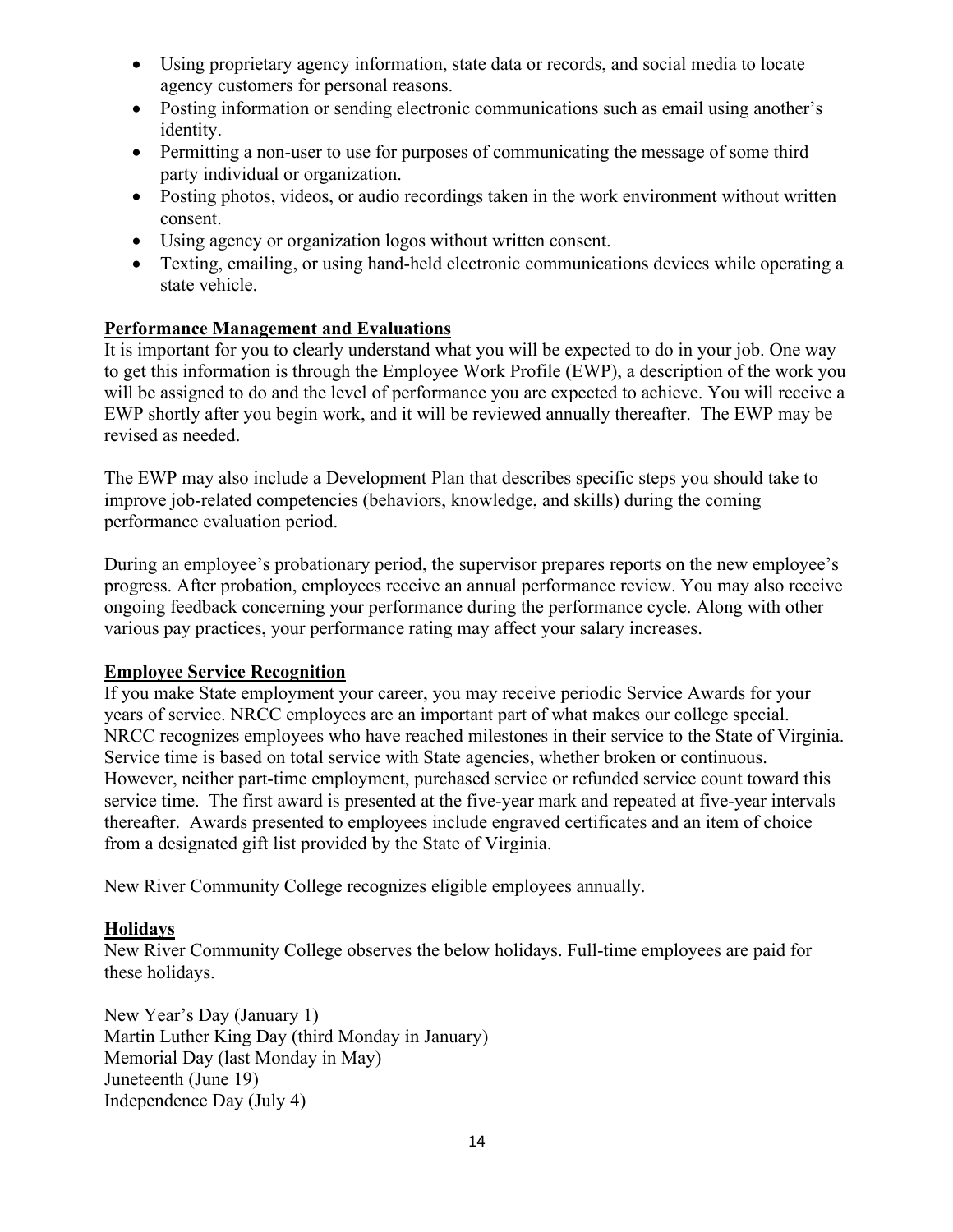- <span id="page-13-0"></span>• Using proprietary agency information, state data or records, and social media to locate agency customers for personal reasons.
- Posting information or sending electronic communications such as email using another's identity.
- Permitting a non-user to use for purposes of communicating the message of some third party individual or organization.
- Posting photos, videos, or audio recordings taken in the work environment without written consent.
- Using agency or organization logos without written consent.
- Texting, emailing, or using hand-held electronic communications devices while operating a state vehicle.

#### **Performance Management and Evaluations**

It is important for you to clearly understand what you will be expected to do in your job. One way to get this information is through the Employee Work Profile (EWP), a description of the work you will be assigned to do and the level of performance you are expected to achieve. You will receive a EWP shortly after you begin work, and it will be reviewed annually thereafter. The EWP may be revised as needed.

The EWP may also include a Development Plan that describes specific steps you should take to improve job-related competencies (behaviors, knowledge, and skills) during the coming performance evaluation period.

 During an employee's probationary period, the supervisor prepares reports on the new employee's progress. After probation, employees receive an annual performance review. You may also receive ongoing feedback concerning your performance during the performance cycle. Along with other various pay practices, your performance rating may affect your salary increases.

#### **Employee Service Recognition**

 thereafter. Awards presented to employees include engraved certificates and an item of choice If you make State employment your career, you may receive periodic Service Awards for your years of service. NRCC employees are an important part of what makes our college special. NRCC recognizes employees who have reached milestones in their service to the State of Virginia. Service time is based on total service with State agencies, whether broken or continuous. However, neither part-time employment, purchased service or refunded service count toward this service time. The first award is presented at the five-year mark and repeated at five-year intervals from a designated gift list provided by the State of Virginia.

New River Community College recognizes eligible employees annually.

#### **Holidays**

New River Community College observes the below holidays. Full-time employees are paid for these holidays.

New Year's Day (January 1) Martin Luther King Day (third Monday in January) Memorial Day (last Monday in May) Juneteenth (June 19) Independence Day (July 4)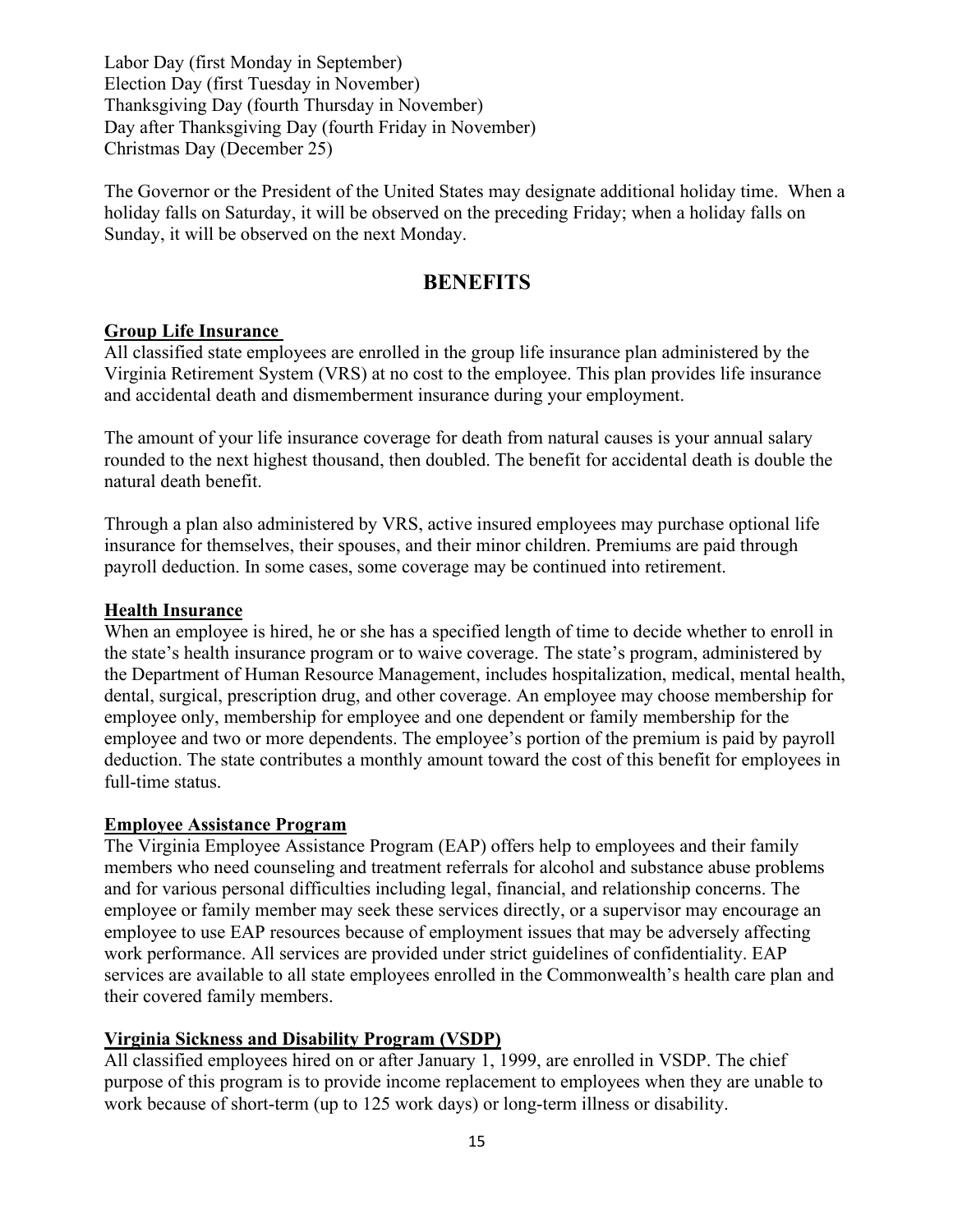<span id="page-14-0"></span>Labor Day (first Monday in September) Election Day (first Tuesday in November) Thanksgiving Day (fourth Thursday in November) Day after Thanksgiving Day (fourth Friday in November) Christmas Day (December 25)

The Governor or the President of the United States may designate additional holiday time. When a holiday falls on Saturday, it will be observed on the preceding Friday; when a holiday falls on Sunday, it will be observed on the next Monday.

#### **BENEFITS**

#### **Group Life Insurance**

All classified state employees are enrolled in the group life insurance plan administered by the Virginia Retirement System (VRS) at no cost to the employee. This plan provides life insurance and accidental death and dismemberment insurance during your employment.

 The amount of your life insurance coverage for death from natural causes is your annual salary rounded to the next highest thousand, then doubled. The benefit for accidental death is double the natural death benefit.

Through a plan also administered by VRS, active insured employees may purchase optional life insurance for themselves, their spouses, and their minor children. Premiums are paid through payroll deduction. In some cases, some coverage may be continued into retirement.

#### **Health Insurance**

When an employee is hired, he or she has a specified length of time to decide whether to enroll in the state's health insurance program or to waive coverage. The state's program, administered by the Department of Human Resource Management, includes hospitalization, medical, mental health, dental, surgical, prescription drug, and other coverage. An employee may choose membership for employee only, membership for employee and one dependent or family membership for the employee and two or more dependents. The employee's portion of the premium is paid by payroll deduction. The state contributes a monthly amount toward the cost of this benefit for employees in full-time status.

#### **Employee Assistance Program**

 employee to use EAP resources because of employment issues that may be adversely affecting The Virginia Employee Assistance Program (EAP) offers help to employees and their family members who need counseling and treatment referrals for alcohol and substance abuse problems and for various personal difficulties including legal, financial, and relationship concerns. The employee or family member may seek these services directly, or a supervisor may encourage an work performance. All services are provided under strict guidelines of confidentiality. EAP services are available to all state employees enrolled in the Commonwealth's health care plan and their covered family members.

#### **Virginia Sickness and Disability Program (VSDP)**

All classified employees hired on or after January 1, 1999, are enrolled in VSDP. The chief purpose of this program is to provide income replacement to employees when they are unable to work because of short-term (up to 125 work days) or long-term illness or disability.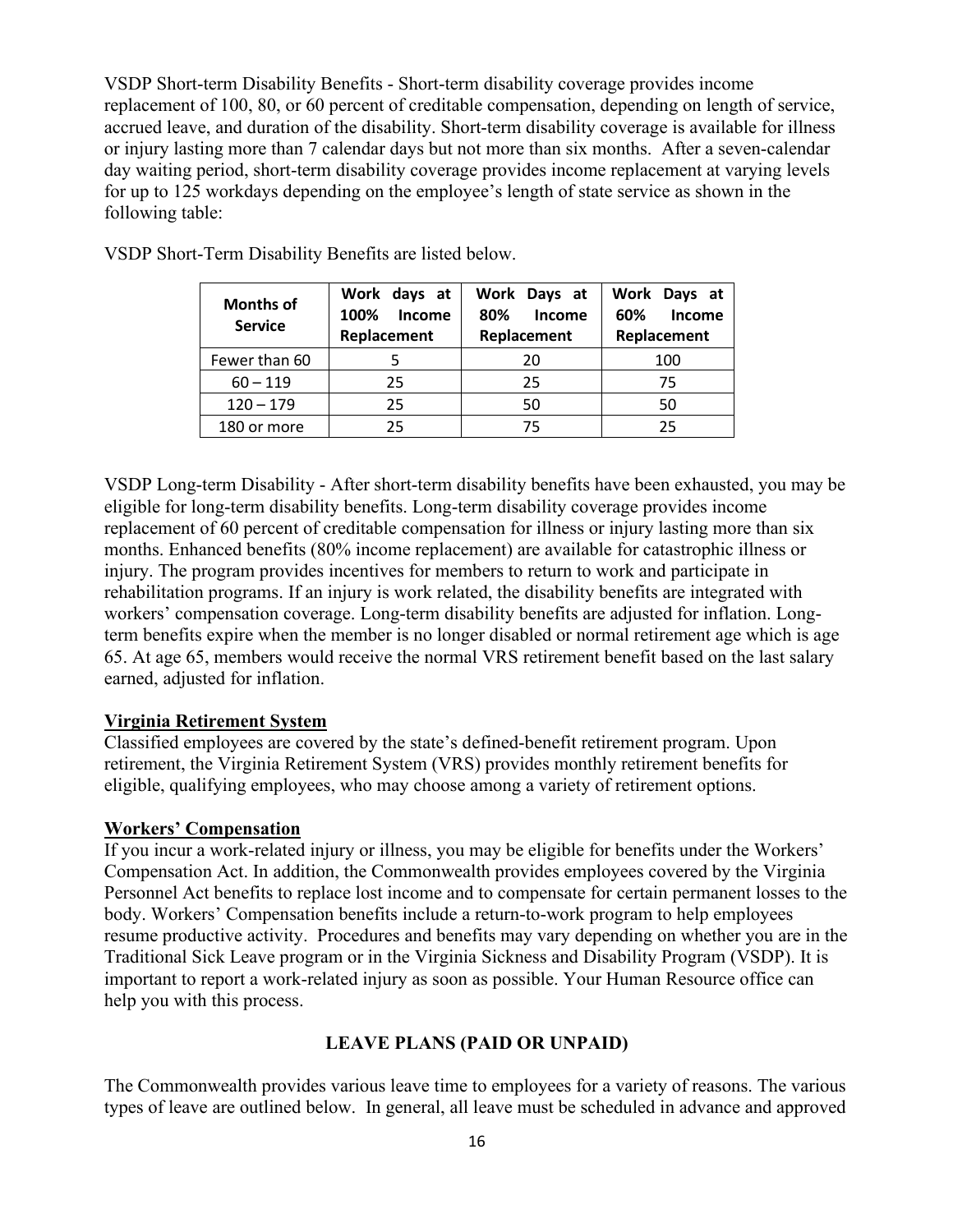VSDP Short-term Disability Benefits - Short-term disability coverage provides income replacement of 100, 80, or 60 percent of creditable compensation, depending on length of service, accrued leave, and duration of the disability. Short-term disability coverage is available for illness or injury lasting more than 7 calendar days but not more than six months. After a seven-calendar day waiting period, short-term disability coverage provides income replacement at varying levels for up to 125 workdays depending on the employee's length of state service as shown in the following table:

| <b>Months of</b><br><b>Service</b> | Work days at<br>Income<br>100%<br>Replacement | Work Days at<br>Income<br>80%<br>Replacement | Work Days at<br>Income<br>60%<br>Replacement |
|------------------------------------|-----------------------------------------------|----------------------------------------------|----------------------------------------------|
| Fewer than 60                      |                                               | 20                                           | 100                                          |
| $60 - 119$                         | 25                                            | 25                                           | 75                                           |
| $120 - 179$                        | 25                                            | 50                                           | 50                                           |
| 180 or more                        | 25                                            | 75                                           | 25                                           |

VSDP Short-Term Disability Benefits are listed below.

VSDP Long-term Disability - After short-term disability benefits have been exhausted, you may be eligible for long-term disability benefits. Long-term disability coverage provides income replacement of 60 percent of creditable compensation for illness or injury lasting more than six months. Enhanced benefits (80% income replacement) are available for catastrophic illness or injury. The program provides incentives for members to return to work and participate in rehabilitation programs. If an injury is work related, the disability benefits are integrated with workers' compensation coverage. Long-term disability benefits are adjusted for inflation. Longterm benefits expire when the member is no longer disabled or normal retirement age which is age 65. At age 65, members would receive the normal VRS retirement benefit based on the last salary earned, adjusted for inflation.

#### **Virginia Retirement System**

Classified employees are covered by the state's defined-benefit retirement program. Upon retirement, the Virginia Retirement System (VRS) provides monthly retirement benefits for eligible, qualifying employees, who may choose among a variety of retirement options.

#### **Workers' Compensation**

 Compensation Act. In addition, the Commonwealth provides employees covered by the Virginia If you incur a work-related injury or illness, you may be eligible for benefits under the Workers' Personnel Act benefits to replace lost income and to compensate for certain permanent losses to the body. Workers' Compensation benefits include a return-to-work program to help employees resume productive activity. Procedures and benefits may vary depending on whether you are in the Traditional Sick Leave program or in the Virginia Sickness and Disability Program (VSDP). It is important to report a work-related injury as soon as possible. Your Human Resource office can help you with this process.

#### **LEAVE PLANS (PAID OR UNPAID)**

The Commonwealth provides various leave time to employees for a variety of reasons. The various types of leave are outlined below. In general, all leave must be scheduled in advance and approved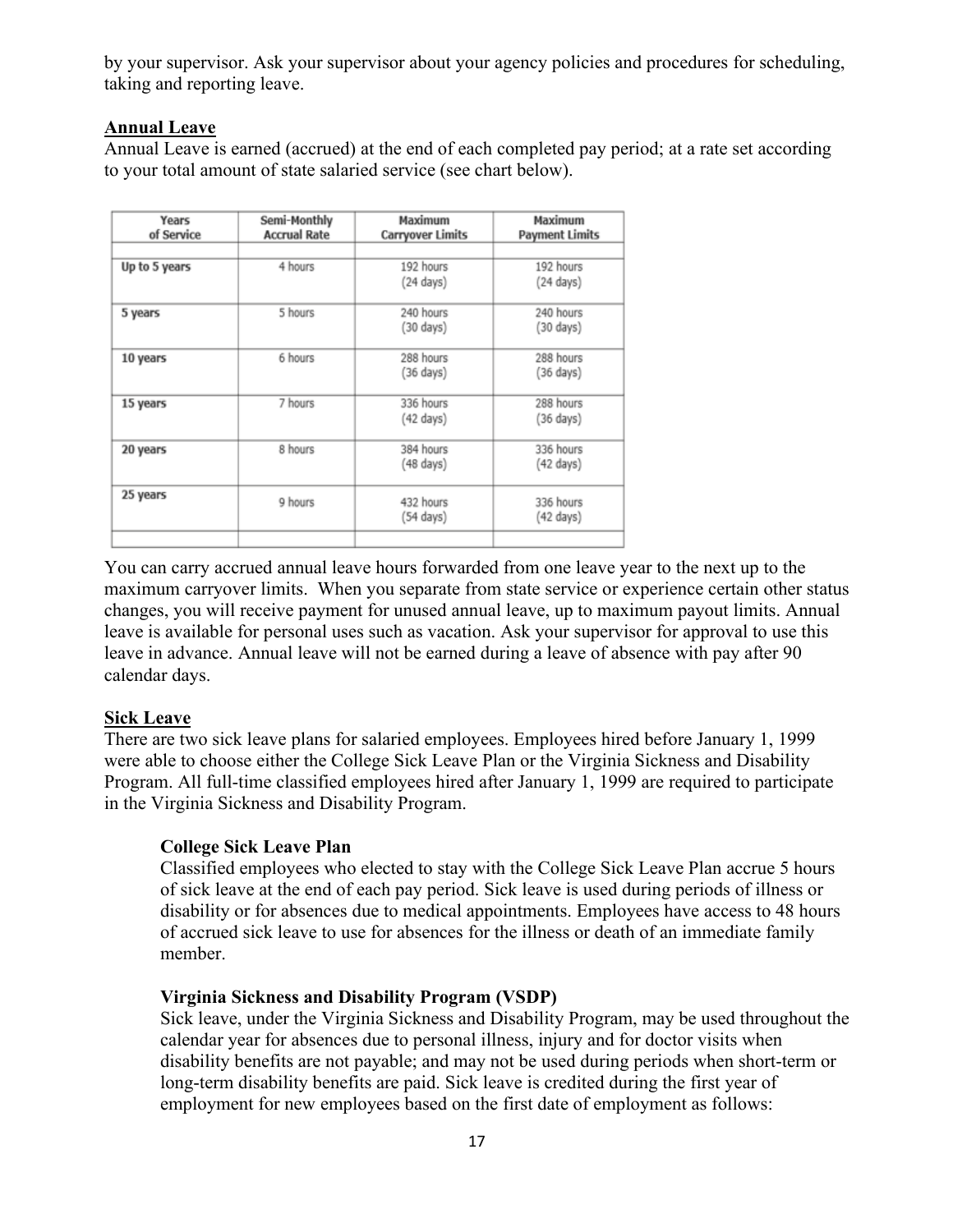by your supervisor. Ask your supervisor about your agency policies and procedures for scheduling, taking and reporting leave.

## **Annual Leave**

 Annual Leave is earned (accrued) at the end of each completed pay period; at a rate set according to your total amount of state salaried service (see chart below).

| Years<br>of Service | Semi-Monthly<br><b>Accrual Rate</b> | Maximum<br>Carryover Limits | Maximum<br><b>Payment Limits</b> |
|---------------------|-------------------------------------|-----------------------------|----------------------------------|
|                     |                                     |                             |                                  |
| Up to 5 years       | 4 hours                             | 192 hours                   | 192 hours                        |
|                     |                                     | (24 days)                   | $(24 \text{ days})$              |
| 5 years             | 5 hours                             | 240 hours                   | 240 hours                        |
|                     |                                     | (30 days)                   | (30 days)                        |
| 10 years            | 6 hours                             | 288 hours                   | 288 hours                        |
|                     |                                     | (36 days)                   | $(36 \text{ days})$              |
| 15 years            | 7 hours                             | 336 hours                   | 288 hours                        |
|                     |                                     | (42 days)                   | (36 days)                        |
| 20 years            | 8 hours                             | 384 hours                   | 336 hours                        |
|                     |                                     | (48 days)                   | (42 days)                        |
| 25 years            | 9 hours                             | 432 hours                   | 336 hours                        |
|                     |                                     | (54 days)                   | (42 days)                        |
|                     |                                     |                             |                                  |

You can carry accrued annual leave hours forwarded from one leave year to the next up to the maximum carryover limits. When you separate from state service or experience certain other status changes, you will receive payment for unused annual leave, up to maximum payout limits. Annual leave is available for personal uses such as vacation. Ask your supervisor for approval to use this leave in advance. Annual leave will not be earned during a leave of absence with pay after 90 calendar days.

#### **Sick Leave**

There are two sick leave plans for salaried employees. Employees hired before January 1, 1999 were able to choose either the College Sick Leave Plan or the Virginia Sickness and Disability Program. All full-time classified employees hired after January 1, 1999 are required to participate in the Virginia Sickness and Disability Program.

# **College Sick Leave Plan**

 member. Classified employees who elected to stay with the College Sick Leave Plan accrue 5 hours of sick leave at the end of each pay period. Sick leave is used during periods of illness or disability or for absences due to medical appointments. Employees have access to 48 hours of accrued sick leave to use for absences for the illness or death of an immediate family

#### **Virginia Sickness and Disability Program (VSDP)**

 long-term disability benefits are paid. Sick leave is credited during the first year of Sick leave, under the Virginia Sickness and Disability Program, may be used throughout the calendar year for absences due to personal illness, injury and for doctor visits when disability benefits are not payable; and may not be used during periods when short-term or employment for new employees based on the first date of employment as follows: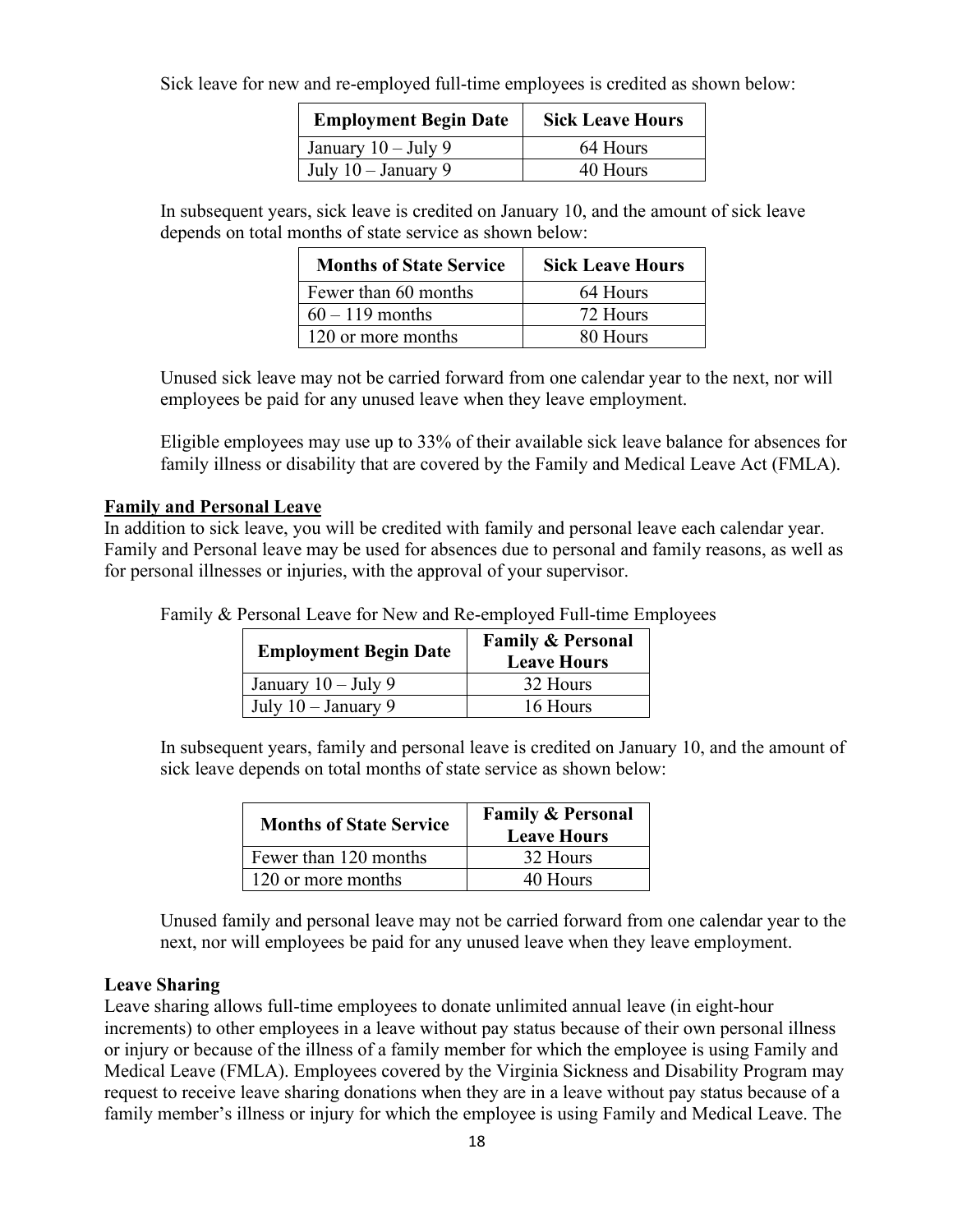Sick leave for new and re-employed full-time employees is credited as shown below:

| <b>Employment Begin Date</b> | <b>Sick Leave Hours</b> |
|------------------------------|-------------------------|
| January $10 -$ July 9        | 64 Hours                |
| July $10 -$ January 9        | 40 Hours                |

In subsequent years, sick leave is credited on January 10, and the amount of sick leave depends on total months of state service as shown below:

| <b>Months of State Service</b> | <b>Sick Leave Hours</b> |
|--------------------------------|-------------------------|
| Fewer than 60 months           | 64 Hours                |
| $60 - 119$ months              | 72 Hours                |
| 120 or more months             | 80 Hours                |

Unused sick leave may not be carried forward from one calendar year to the next, nor will employees be paid for any unused leave when they leave employment.

Eligible employees may use up to 33% of their available sick leave balance for absences for family illness or disability that are covered by the Family and Medical Leave Act (FMLA).

#### **Family and Personal Leave**

In addition to sick leave, you will be credited with family and personal leave each calendar year. Family and Personal leave may be used for absences due to personal and family reasons, as well as for personal illnesses or injuries, with the approval of your supervisor.

Family & Personal Leave for New and Re-employed Full-time Employees

| <b>Employment Begin Date</b> | <b>Family &amp; Personal</b><br><b>Leave Hours</b> |
|------------------------------|----------------------------------------------------|
| January $10 -$ July 9        | 32 Hours                                           |
| July $10 -$ January 9        | 16 Hours                                           |

In subsequent years, family and personal leave is credited on January 10, and the amount of sick leave depends on total months of state service as shown below:

| <b>Months of State Service</b> | <b>Family &amp; Personal</b><br><b>Leave Hours</b> |
|--------------------------------|----------------------------------------------------|
| Fewer than 120 months          | 32 Hours                                           |
| 120 or more months             | 40 Hours                                           |

 next, nor will employees be paid for any unused leave when they leave employment. Unused family and personal leave may not be carried forward from one calendar year to the

#### **Leave Sharing**

 family member's illness or injury for which the employee is using Family and Medical Leave. The Leave sharing allows full-time employees to donate unlimited annual leave (in eight-hour increments) to other employees in a leave without pay status because of their own personal illness or injury or because of the illness of a family member for which the employee is using Family and Medical Leave (FMLA). Employees covered by the Virginia Sickness and Disability Program may request to receive leave sharing donations when they are in a leave without pay status because of a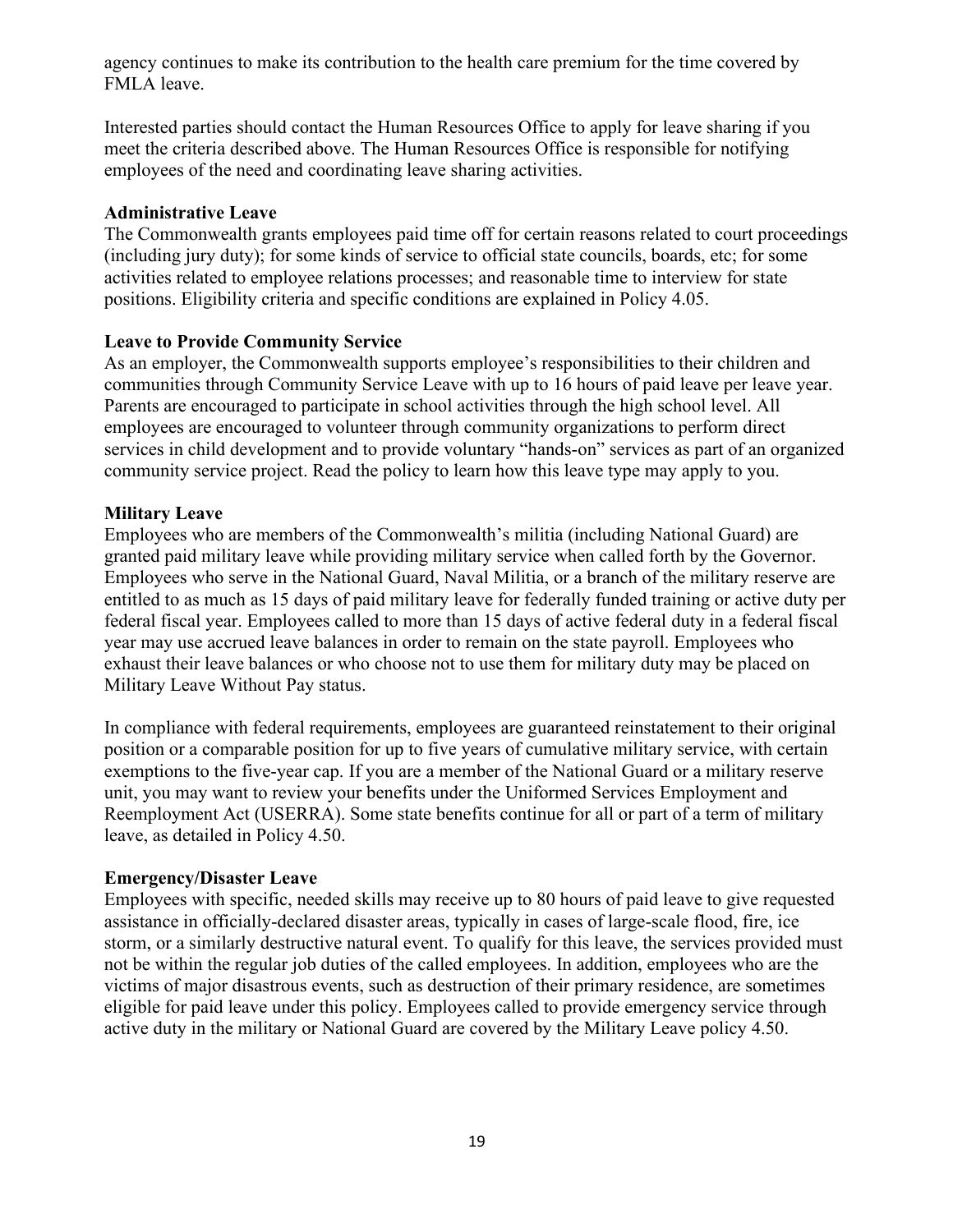agency continues to make its contribution to the health care premium for the time covered by FMLA leave.

 Interested parties should contact the Human Resources Office to apply for leave sharing if you meet the criteria described above. The Human Resources Office is responsible for notifying employees of the need and coordinating leave sharing activities.

#### **Administrative Leave**

The Commonwealth grants employees paid time off for certain reasons related to court proceedings (including jury duty); for some kinds of service to official state councils, boards, etc; for some activities related to employee relations processes; and reasonable time to interview for state positions. Eligibility criteria and specific conditions are explained in Policy 4.05.

#### **Leave to Provide Community Service**

As an employer, the Commonwealth supports employee's responsibilities to their children and communities through Community Service Leave with up to 16 hours of paid leave per leave year. Parents are encouraged to participate in school activities through the high school level. All employees are encouraged to volunteer through community organizations to perform direct services in child development and to provide voluntary "hands-on" services as part of an organized community service project. Read the policy to learn how this leave type may apply to you.

#### **Military Leave**

Employees who are members of the Commonwealth's militia (including National Guard) are granted paid military leave while providing military service when called forth by the Governor. Employees who serve in the National Guard, Naval Militia, or a branch of the military reserve are entitled to as much as 15 days of paid military leave for federally funded training or active duty per federal fiscal year. Employees called to more than 15 days of active federal duty in a federal fiscal year may use accrued leave balances in order to remain on the state payroll. Employees who exhaust their leave balances or who choose not to use them for military duty may be placed on Military Leave Without Pay status.

In compliance with federal requirements, employees are guaranteed reinstatement to their original position or a comparable position for up to five years of cumulative military service, with certain exemptions to the five-year cap. If you are a member of the National Guard or a military reserve unit, you may want to review your benefits under the Uniformed Services Employment and Reemployment Act (USERRA). Some state benefits continue for all or part of a term of military leave, as detailed in Policy 4.50.

#### **Emergency/Disaster Leave**

Employees with specific, needed skills may receive up to 80 hours of paid leave to give requested assistance in officially-declared disaster areas, typically in cases of large-scale flood, fire, ice storm, or a similarly destructive natural event. To qualify for this leave, the services provided must not be within the regular job duties of the called employees. In addition, employees who are the victims of major disastrous events, such as destruction of their primary residence, are sometimes eligible for paid leave under this policy. Employees called to provide emergency service through active duty in the military or National Guard are covered by the Military Leave policy 4.50.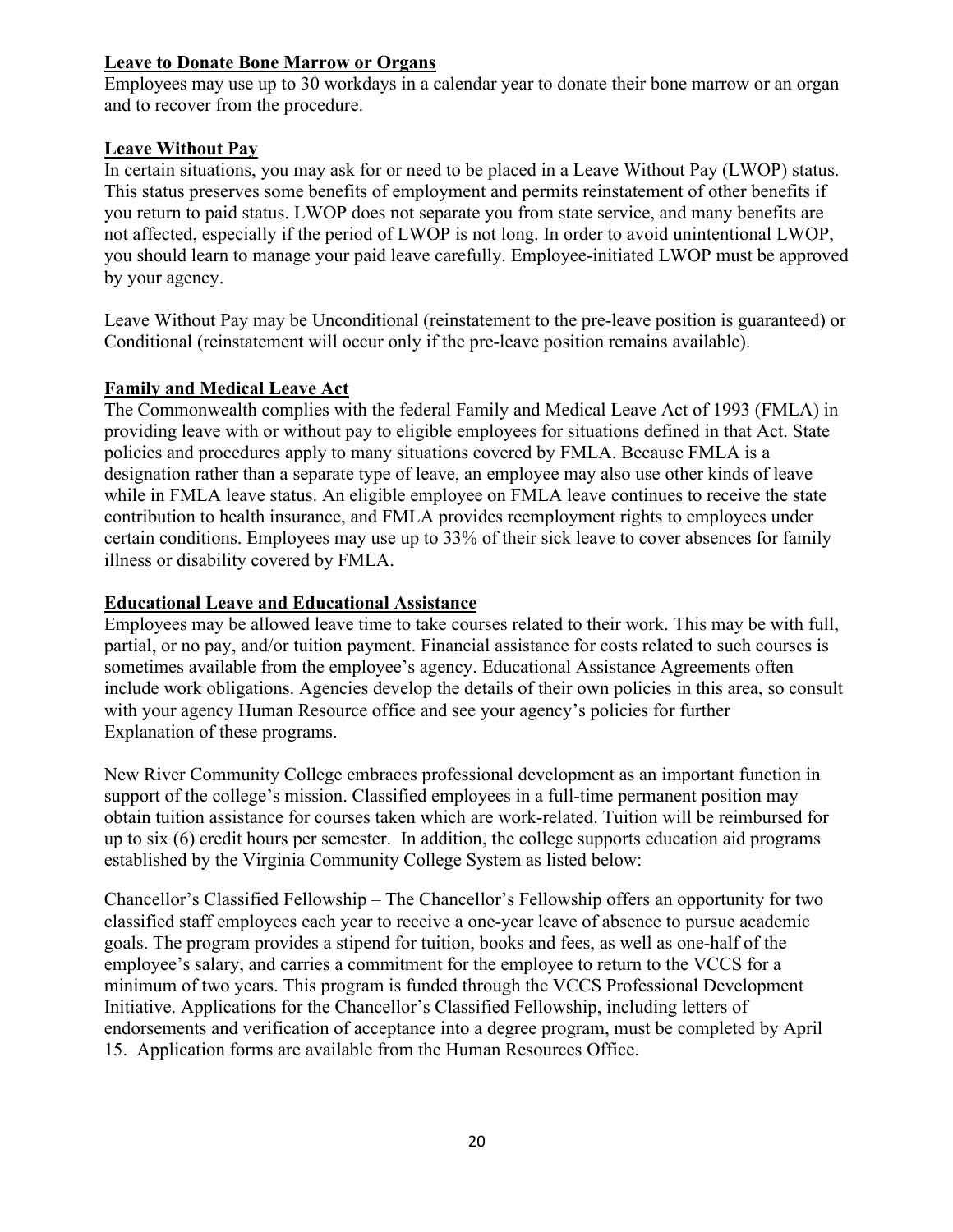#### **Leave to Donate Bone Marrow or Organs**

Employees may use up to 30 workdays in a calendar year to donate their bone marrow or an organ and to recover from the procedure.

## **Leave Without Pay**

In certain situations, you may ask for or need to be placed in a Leave Without Pay (LWOP) status. This status preserves some benefits of employment and permits reinstatement of other benefits if you return to paid status. LWOP does not separate you from state service, and many benefits are not affected, especially if the period of LWOP is not long. In order to avoid unintentional LWOP, you should learn to manage your paid leave carefully. Employee-initiated LWOP must be approved by your agency.

Leave Without Pay may be Unconditional (reinstatement to the pre-leave position is guaranteed) or Conditional (reinstatement will occur only if the pre-leave position remains available).

## **Family and Medical Leave Act**

The Commonwealth complies with the federal Family and Medical Leave Act of 1993 (FMLA) in providing leave with or without pay to eligible employees for situations defined in that Act. State policies and procedures apply to many situations covered by FMLA. Because FMLA is a designation rather than a separate type of leave, an employee may also use other kinds of leave while in FMLA leave status. An eligible employee on FMLA leave continues to receive the state contribution to health insurance, and FMLA provides reemployment rights to employees under certain conditions. Employees may use up to 33% of their sick leave to cover absences for family illness or disability covered by FMLA.

## **Educational Leave and Educational Assistance**

 with your agency Human Resource office and see your agency's policies for further Employees may be allowed leave time to take courses related to their work. This may be with full, partial, or no pay, and/or tuition payment. Financial assistance for costs related to such courses is sometimes available from the employee's agency. Educational Assistance Agreements often include work obligations. Agencies develop the details of their own policies in this area, so consult Explanation of these programs.

New River Community College embraces professional development as an important function in support of the college's mission. Classified employees in a full-time permanent position may obtain tuition assistance for courses taken which are work-related. Tuition will be reimbursed for up to six (6) credit hours per semester. In addition, the college supports education aid programs established by the Virginia Community College System as listed below:

 Chancellor's Classified Fellowship – The Chancellor's Fellowship offers an opportunity for two classified staff employees each year to receive a one-year leave of absence to pursue academic goals. The program provides a stipend for tuition, books and fees, as well as one-half of the employee's salary, and carries a commitment for the employee to return to the VCCS for a minimum of two years. This program is funded through the VCCS Professional Development Initiative. Applications for the Chancellor's Classified Fellowship, including letters of endorsements and verification of acceptance into a degree program, must be completed by April 15. Application forms are available from the Human Resources Office.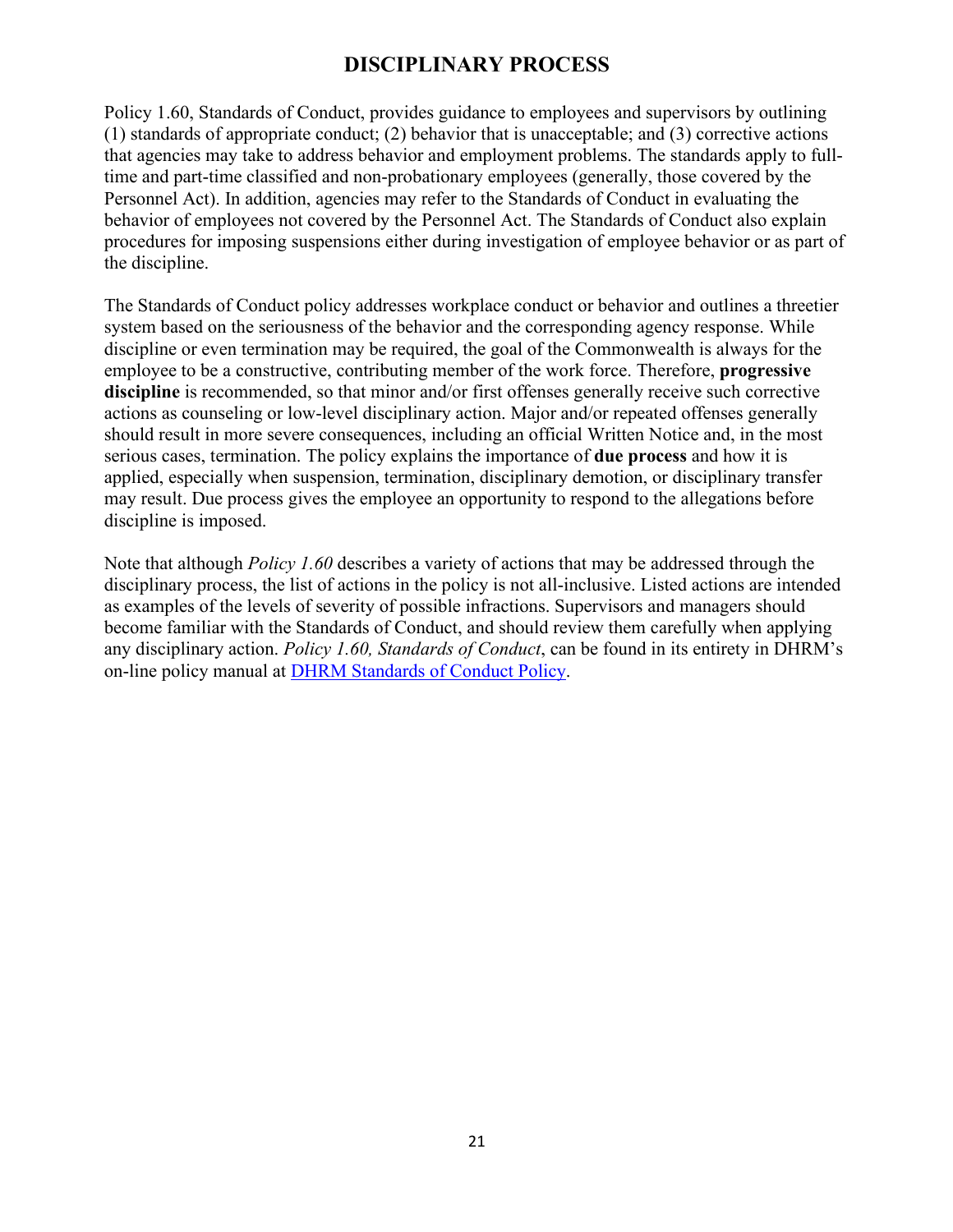# **DISCIPLINARY PROCESS**

<span id="page-20-0"></span>the discipline. Policy 1.60, Standards of Conduct, provides guidance to employees and supervisors by outlining (1) standards of appropriate conduct; (2) behavior that is unacceptable; and (3) corrective actions that agencies may take to address behavior and employment problems. The standards apply to fulltime and part-time classified and non-probationary employees (generally, those covered by the Personnel Act). In addition, agencies may refer to the Standards of Conduct in evaluating the behavior of employees not covered by the Personnel Act. The Standards of Conduct also explain procedures for imposing suspensions either during investigation of employee behavior or as part of

The Standards of Conduct policy addresses workplace conduct or behavior and outlines a threetier system based on the seriousness of the behavior and the corresponding agency response. While discipline or even termination may be required, the goal of the Commonwealth is always for the employee to be a constructive, contributing member of the work force. Therefore, **progressive discipline** is recommended, so that minor and/or first offenses generally receive such corrective actions as counseling or low-level disciplinary action. Major and/or repeated offenses generally should result in more severe consequences, including an official Written Notice and, in the most serious cases, termination. The policy explains the importance of **due process** and how it is applied, especially when suspension, termination, disciplinary demotion, or disciplinary transfer may result. Due process gives the employee an opportunity to respond to the allegations before discipline is imposed.

Note that although *Policy 1.60* describes a variety of actions that may be addressed through the disciplinary process, the list of actions in the policy is not all-inclusive. Listed actions are intended as examples of the levels of severity of possible infractions. Supervisors and managers should become familiar with the Standards of Conduct, and should review them carefully when applying any disciplinary action. *Policy 1.60, Standards of Conduct*, can be found in its entirety in DHRM's on-line policy manual at [DHRM Standards of Conduct Policy.](http://www.dhrm.virginia.gov/docs/default-source/hrpolicy/pol1_60.pdf?sfvrsn=2)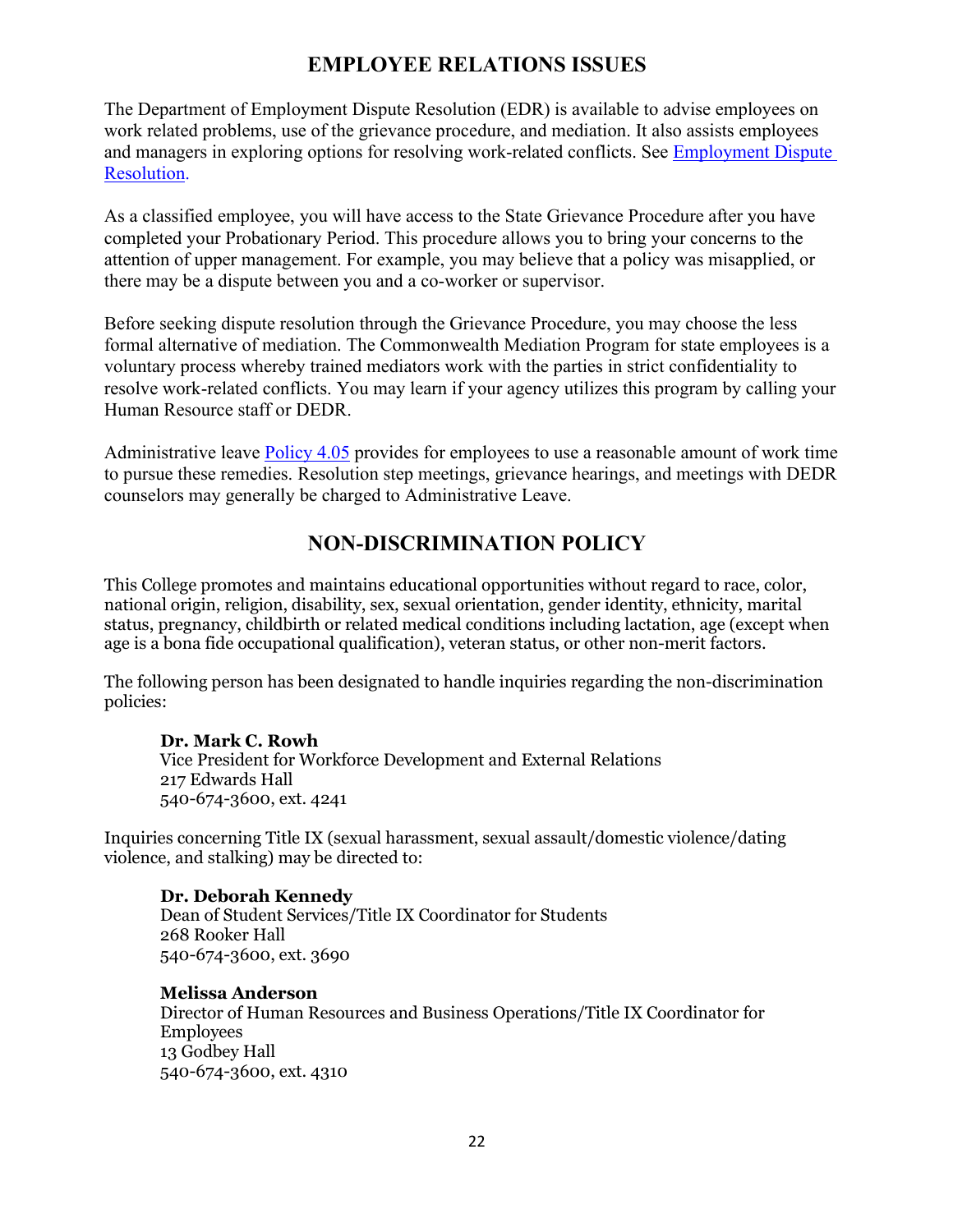# **EMPLOYEE RELATIONS ISSUES**

<span id="page-21-0"></span>The Department of Employment Dispute Resolution (EDR) is available to advise employees on work related problems, use of the grievance procedure, and mediation. It also assists employees and managers in exploring options for resolving work-related conflicts. See [Employment Dispute](http://www.dhrm.virginia.gov/employmentdisputeresolution)  [Resolution.](http://www.dhrm.virginia.gov/employmentdisputeresolution)

As a classified employee, you will have access to the State Grievance Procedure after you have completed your Probationary Period. This procedure allows you to bring your concerns to the attention of upper management. For example, you may believe that a policy was misapplied, or there may be a dispute between you and a co-worker or supervisor.

Before seeking dispute resolution through the Grievance Procedure, you may choose the less formal alternative of mediation. The Commonwealth Mediation Program for state employees is a voluntary process whereby trained mediators work with the parties in strict confidentiality to resolve work-related conflicts. You may learn if your agency utilizes this program by calling your Human Resource staff or DEDR.

Administrative leave [Policy 4.05](http://web1.dhrm.virginia.gov/itech/hrpolicy/pol4_05.html) provides for employees to use a reasonable amount of work time to pursue these remedies. Resolution step meetings, grievance hearings, and meetings with DEDR counselors may generally be charged to Administrative Leave.

## **NON-DISCRIMINATION POLICY**

 This College promotes and maintains educational opportunities without regard to race, color, age is a bona fide occupational qualification), veteran status, or other non-merit factors. national origin, religion, disability, sex, sexual orientation, gender identity, ethnicity, marital status, pregnancy, childbirth or related medical conditions including lactation, age (except when

The following person has been designated to handle inquiries regarding the non-discrimination policies:

 **Dr. Mark C. Rowh** Vice President for Workforce Development and External Relations 217 Edwards Hall 540-674-3600, ext. 4241

Inquiries concerning Title IX (sexual harassment, sexual assault/domestic violence/dating violence, and stalking) may be directed to:

#### **Dr. Deborah Kennedy**

Dean of Student Services/Title IX Coordinator for Students 268 Rooker Hall 540-674-3600, ext. 3690

#### **Melissa Anderson**

Director of Human Resources and Business Operations/Title IX Coordinator for Employees 13 Godbey Hall 540-674-3600, ext. 4310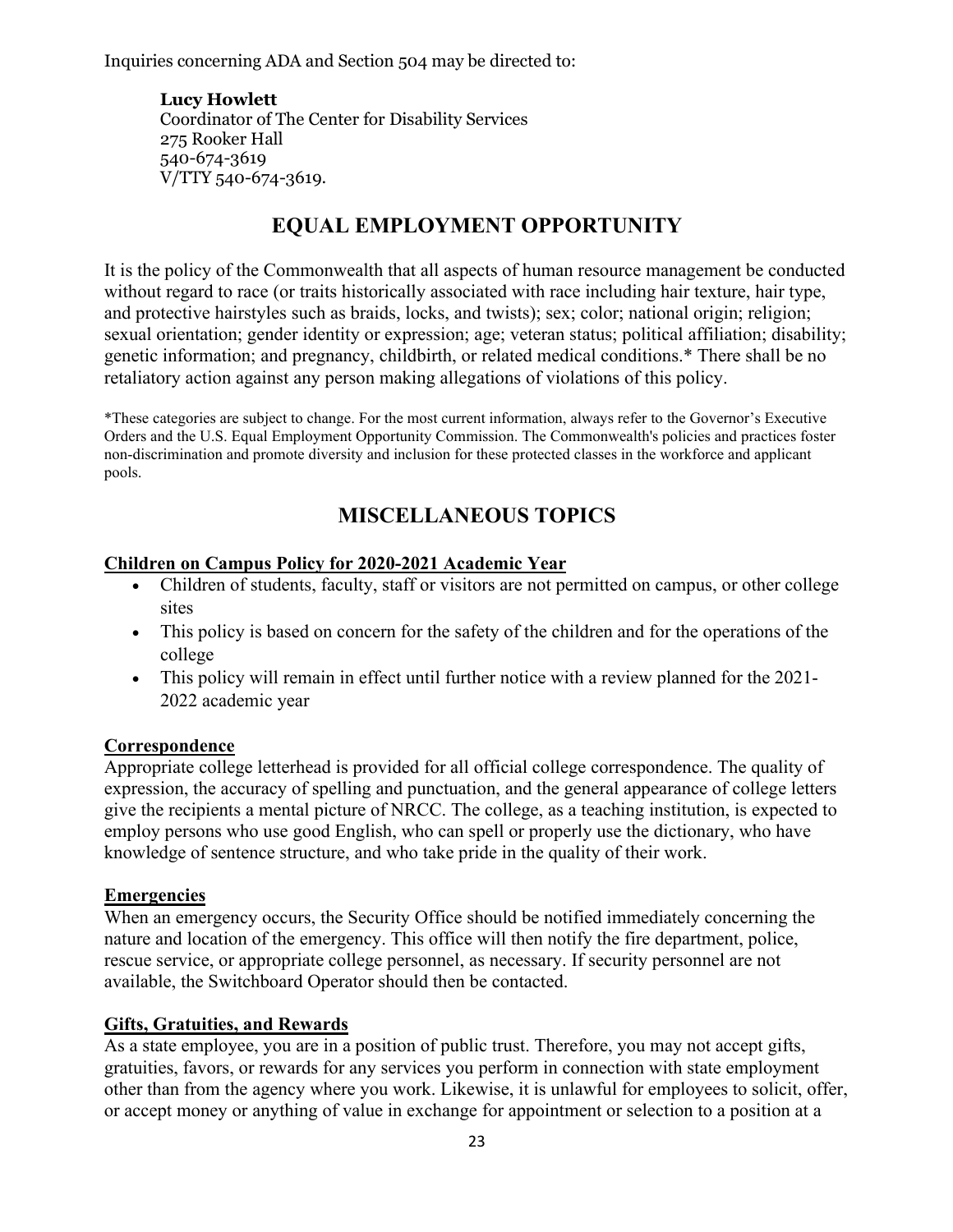<span id="page-22-0"></span>Inquiries concerning ADA and Section 504 may be directed to:

 **Lucy Howlett** Coordinator of The Center for Disability Services 275 Rooker Hall 540-674-3619 V/TTY 540-674-3619.

# **EQUAL EMPLOYMENT OPPORTUNITY**

It is the policy of the Commonwealth that all aspects of human resource management be conducted without regard to race (or traits historically associated with race including hair texture, hair type, and protective hairstyles such as braids, locks, and twists); sex; color; national origin; religion; sexual orientation; gender identity or expression; age; veteran status; political affiliation; disability; genetic information; and pregnancy, childbirth, or related medical conditions.\* There shall be no retaliatory action against any person making allegations of violations of this policy.

\*These categories are subject to change. For the most current information, always refer to the Governor's Executive Orders and the U.S. Equal Employment Opportunity Commission. The Commonwealth's policies and practices foster non-discrimination and promote diversity and inclusion for these protected classes in the workforce and applicant pools.

# **MISCELLANEOUS TOPICS**

#### **Children on Campus Policy for 2020-2021 Academic Year**

- Children of students, faculty, staff or visitors are not permitted on campus, or other college sites
- This policy is based on concern for the safety of the children and for the operations of the college
- This policy will remain in effect until further notice with a review planned for the 2021- 2022 academic year

#### **Correspondence**

 knowledge of sentence structure, and who take pride in the quality of their work. Appropriate college letterhead is provided for all official college correspondence. The quality of expression, the accuracy of spelling and punctuation, and the general appearance of college letters give the recipients a mental picture of NRCC. The college, as a teaching institution, is expected to employ persons who use good English, who can spell or properly use the dictionary, who have

#### **Emergencies**

When an emergency occurs, the Security Office should be notified immediately concerning the nature and location of the emergency. This office will then notify the fire department, police, rescue service, or appropriate college personnel, as necessary. If security personnel are not available, the Switchboard Operator should then be contacted.

#### **Gifts, Gratuities, and Rewards**

 gratuities, favors, or rewards for any services you perform in connection with state employment As a state employee, you are in a position of public trust. Therefore, you may not accept gifts, other than from the agency where you work. Likewise, it is unlawful for employees to solicit, offer, or accept money or anything of value in exchange for appointment or selection to a position at a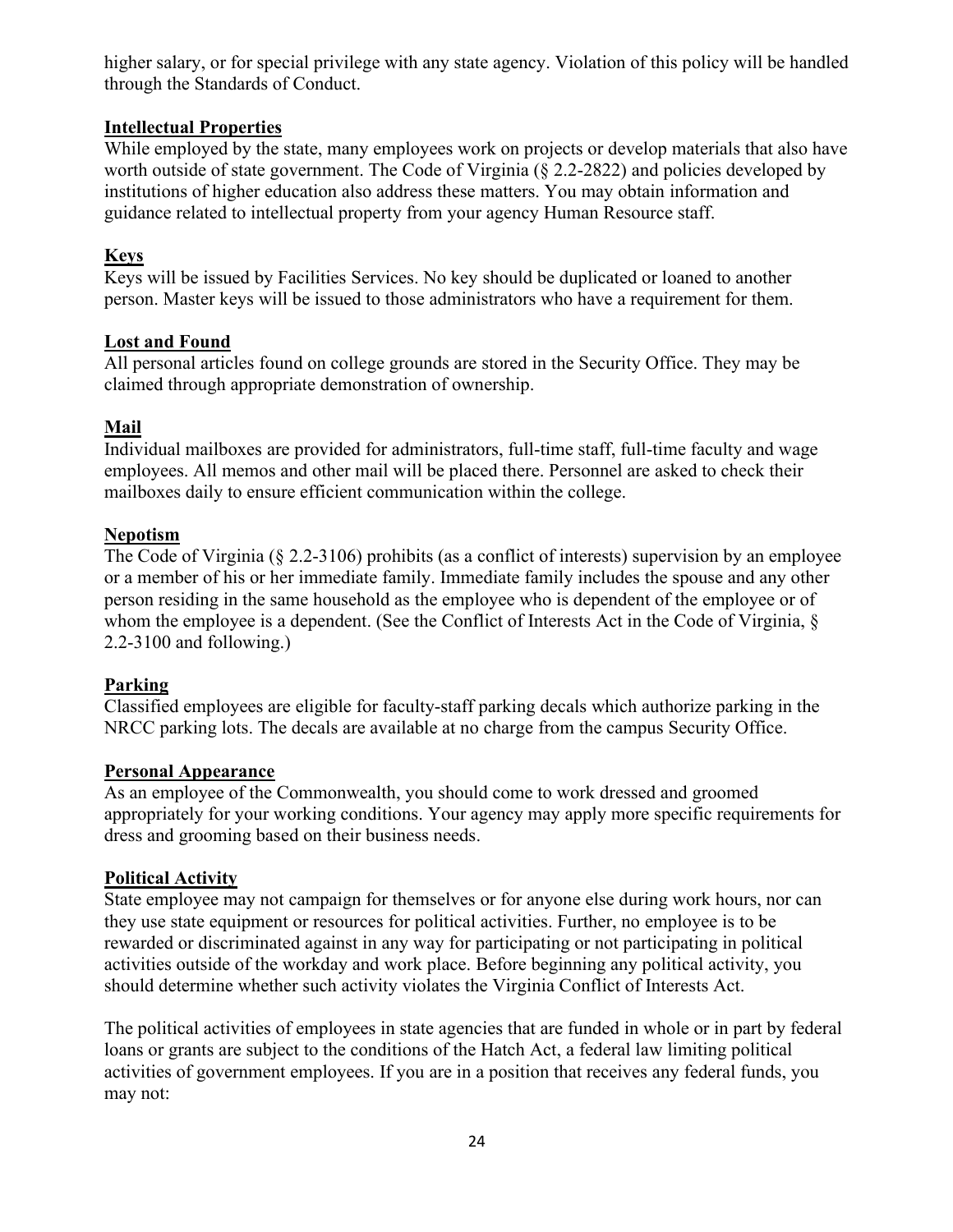<span id="page-23-0"></span>higher salary, or for special privilege with any state agency. Violation of this policy will be handled through the Standards of Conduct.

## **Intellectual Properties**

While employed by the state, many employees work on projects or develop materials that also have worth outside of state government. The Code of Virginia (§ 2.2-2822) and policies developed by institutions of higher education also address these matters. You may obtain information and guidance related to intellectual property from your agency Human Resource staff.

# **Keys**

 person. Master keys will be issued to those administrators who have a requirement for them. Keys will be issued by Facilities Services. No key should be duplicated or loaned to another

#### **Lost and Found**

All personal articles found on college grounds are stored in the Security Office. They may be claimed through appropriate demonstration of ownership.

## **Mail**

 Individual mailboxes are provided for administrators, full-time staff, full-time faculty and wage mailboxes daily to ensure efficient communication within the college. employees. All memos and other mail will be placed there. Personnel are asked to check their

## **Nepotism**

 whom the employee is a dependent. (See the Conflict of Interests Act in the Code of Virginia, § The Code of Virginia (§ 2.2-3106) prohibits (as a conflict of interests) supervision by an employee or a member of his or her immediate family. Immediate family includes the spouse and any other person residing in the same household as the employee who is dependent of the employee or of 2.2-3100 and following.)

# **Parking**

Classified employees are eligible for faculty-staff parking decals which authorize parking in the NRCC parking lots. The decals are available at no charge from the campus Security Office.

#### **Personal Appearance**

As an employee of the Commonwealth, you should come to work dressed and groomed appropriately for your working conditions. Your agency may apply more specific requirements for dress and grooming based on their business needs.

#### **Political Activity**

State employee may not campaign for themselves or for anyone else during work hours, nor can they use state equipment or resources for political activities. Further, no employee is to be rewarded or discriminated against in any way for participating or not participating in political activities outside of the workday and work place. Before beginning any political activity, you should determine whether such activity violates the Virginia Conflict of Interests Act.

 activities of government employees. If you are in a position that receives any federal funds, you may not: The political activities of employees in state agencies that are funded in whole or in part by federal loans or grants are subject to the conditions of the Hatch Act, a federal law limiting political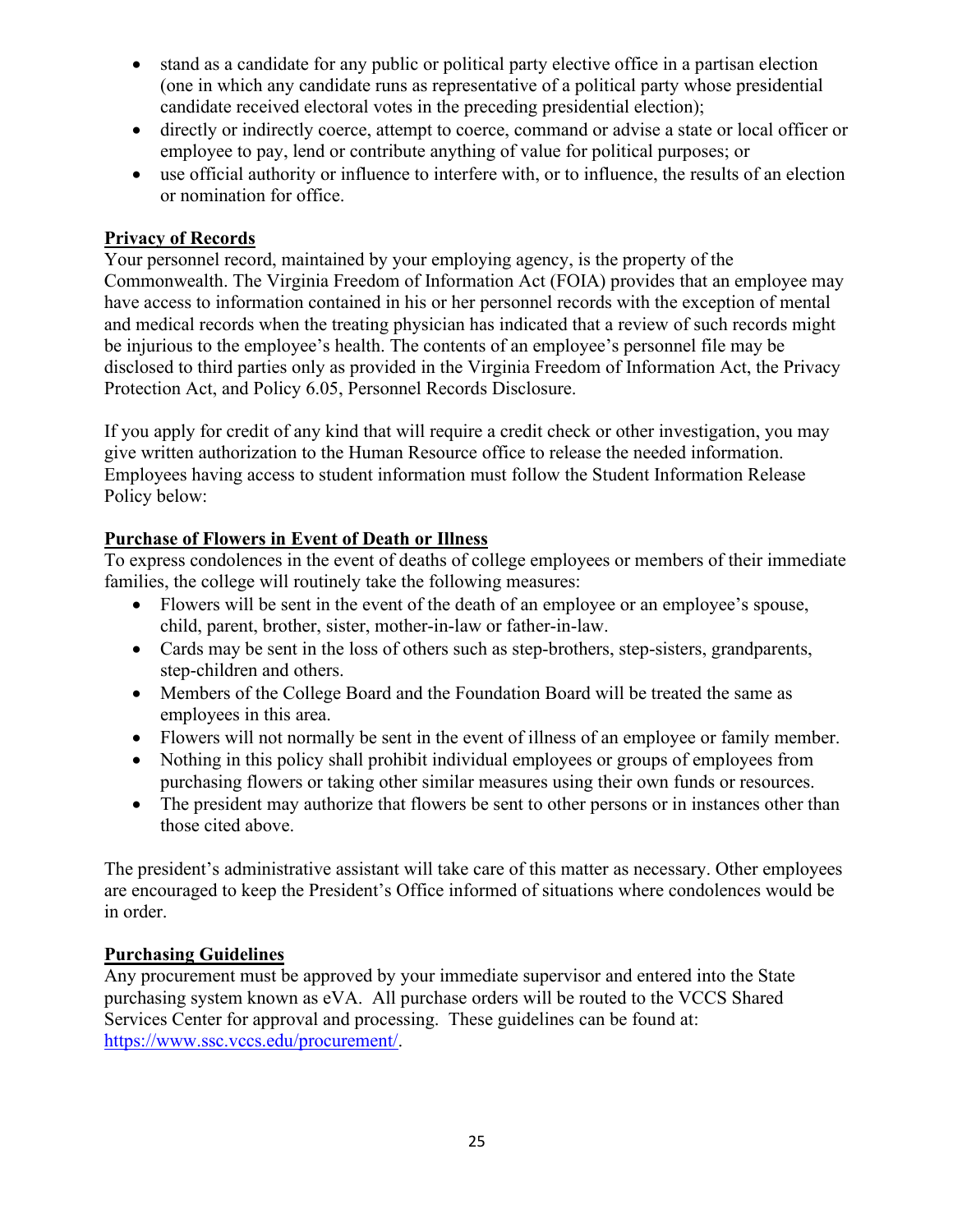- <span id="page-24-0"></span>• stand as a candidate for any public or political party elective office in a partisan election (one in which any candidate runs as representative of a political party whose presidential candidate received electoral votes in the preceding presidential election);
- directly or indirectly coerce, attempt to coerce, command or advise a state or local officer or employee to pay, lend or contribute anything of value for political purposes; or
- • use official authority or influence to interfere with, or to influence, the results of an election or nomination for office.

#### **Privacy of Records**

Protection Act, and Policy 6.05, Personnel Records Disclosure. Your personnel record, maintained by your employing agency, is the property of the Commonwealth. The Virginia Freedom of Information Act (FOIA) provides that an employee may have access to information contained in his or her personnel records with the exception of mental and medical records when the treating physician has indicated that a review of such records might be injurious to the employee's health. The contents of an employee's personnel file may be disclosed to third parties only as provided in the Virginia Freedom of Information Act, the Privacy

If you apply for credit of any kind that will require a credit check or other investigation, you may give written authorization to the Human Resource office to release the needed information. Employees having access to student information must follow the Student Information Release Policy below:

## **Purchase of Flowers in Event of Death or Illness**

To express condolences in the event of deaths of college employees or members of their immediate families, the college will routinely take the following measures:

- Flowers will be sent in the event of the death of an employee or an employee's spouse, child, parent, brother, sister, mother-in-law or father-in-law.
- Cards may be sent in the loss of others such as step-brothers, step-sisters, grandparents, step-children and others.
- Members of the College Board and the Foundation Board will be treated the same as employees in this area.
- Flowers will not normally be sent in the event of illness of an employee or family member.
- Nothing in this policy shall prohibit individual employees or groups of employees from purchasing flowers or taking other similar measures using their own funds or resources.
- The president may authorize that flowers be sent to other persons or in instances other than those cited above.

 The president's administrative assistant will take care of this matter as necessary. Other employees are encouraged to keep the President's Office informed of situations where condolences would be in order.

#### **Purchasing Guidelines**

Services Center for approval and processing. These guidelines can be found at: [https://www.ssc.vccs.edu/procurement/.](https://www.ssc.vccs.edu/procurement/) Any procurement must be approved by your immediate supervisor and entered into the State purchasing system known as eVA. All purchase orders will be routed to the VCCS Shared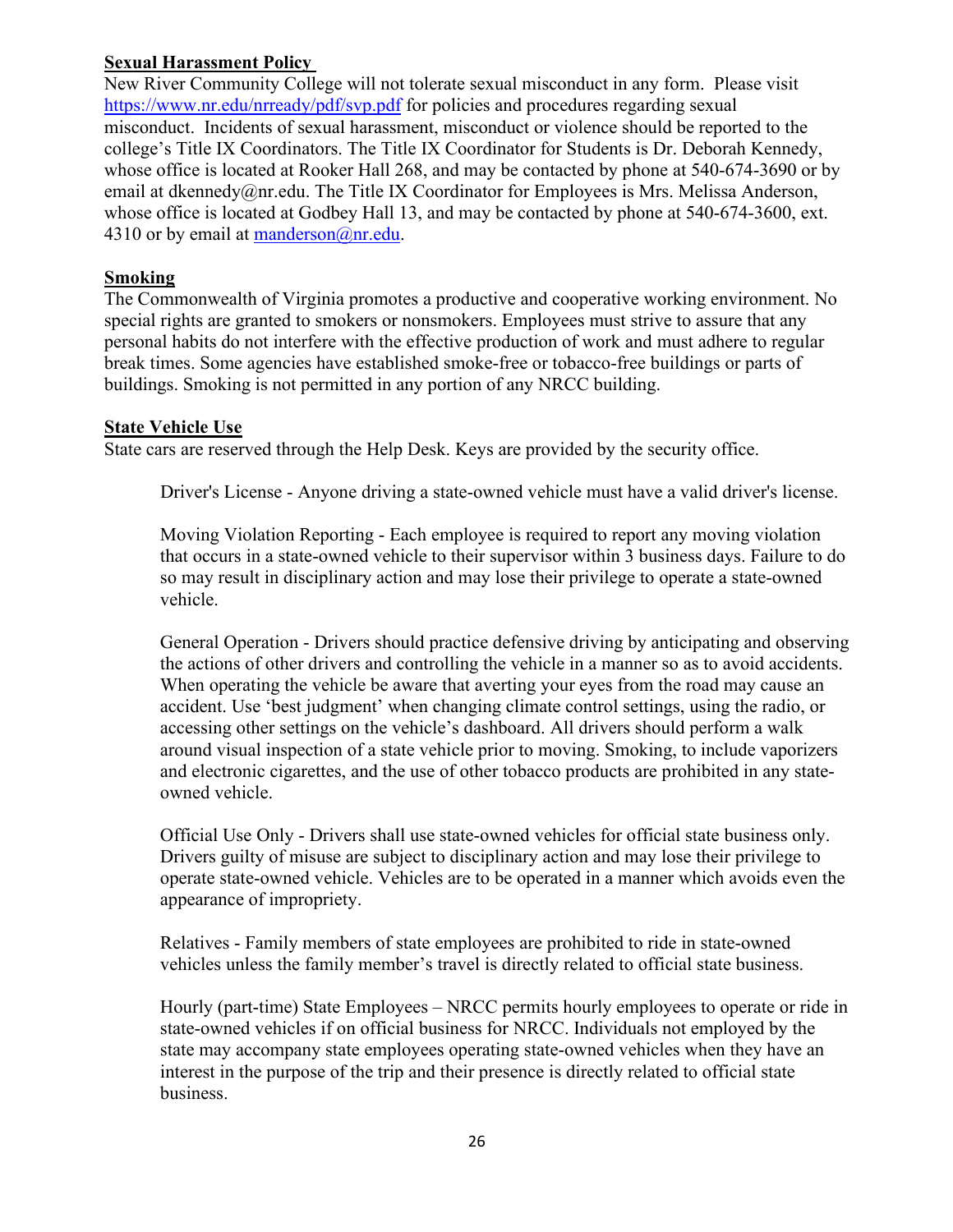### <span id="page-25-0"></span>**Sexual Harassment Policy**

 New River Community College will not tolerate sexual misconduct in any form. Please visit <https://www.nr.edu/nrready/pdf/svp.pdf>for policies and procedures regarding sexual misconduct. Incidents of sexual harassment, misconduct or violence should be reported to the college's Title IX Coordinators. The Title IX Coordinator for Students is Dr. Deborah Kennedy, whose office is located at Rooker Hall 268, and may be contacted by phone at 540-674-3690 or by email at [dkennedy@nr.edu](mailto:dkennedy@nr.edu). The Title IX Coordinator for Employees is Mrs. Melissa Anderson, whose office is located at Godbey Hall 13, and may be contacted by phone at 540-674-3600, ext. 4310 or by email at manderson $@nn$ .edu.

## **Smoking**

The Commonwealth of Virginia promotes a productive and cooperative working environment. No special rights are granted to smokers or nonsmokers. Employees must strive to assure that any personal habits do not interfere with the effective production of work and must adhere to regular break times. Some agencies have established smoke-free or tobacco-free buildings or parts of buildings. Smoking is not permitted in any portion of any NRCC building.

## **State Vehicle Use**

State cars are reserved through the Help Desk. Keys are provided by the security office.

Driver's License - Anyone driving a state-owned vehicle must have a valid driver's license.

Moving Violation Reporting - Each employee is required to report any moving violation that occurs in a state-owned vehicle to their supervisor within 3 business days. Failure to do so may result in disciplinary action and may lose their privilege to operate a state-owned vehicle.

General Operation - Drivers should practice defensive driving by anticipating and observing the actions of other drivers and controlling the vehicle in a manner so as to avoid accidents. When operating the vehicle be aware that averting your eyes from the road may cause an accident. Use 'best judgment' when changing climate control settings, using the radio, or accessing other settings on the vehicle's dashboard. All drivers should perform a walk around visual inspection of a state vehicle prior to moving. Smoking, to include vaporizers and electronic cigarettes, and the use of other tobacco products are prohibited in any stateowned vehicle.

 Official Use Only - Drivers shall use state-owned vehicles for official state business only. Drivers guilty of misuse are subject to disciplinary action and may lose their privilege to operate state-owned vehicle. Vehicles are to be operated in a manner which avoids even the appearance of impropriety.

Relatives - Family members of state employees are prohibited to ride in state-owned vehicles unless the family member's travel is directly related to official state business.

Hourly (part-time) State Employees – NRCC permits hourly employees to operate or ride in state-owned vehicles if on official business for NRCC. Individuals not employed by the state may accompany state employees operating state-owned vehicles when they have an interest in the purpose of the trip and their presence is directly related to official state business.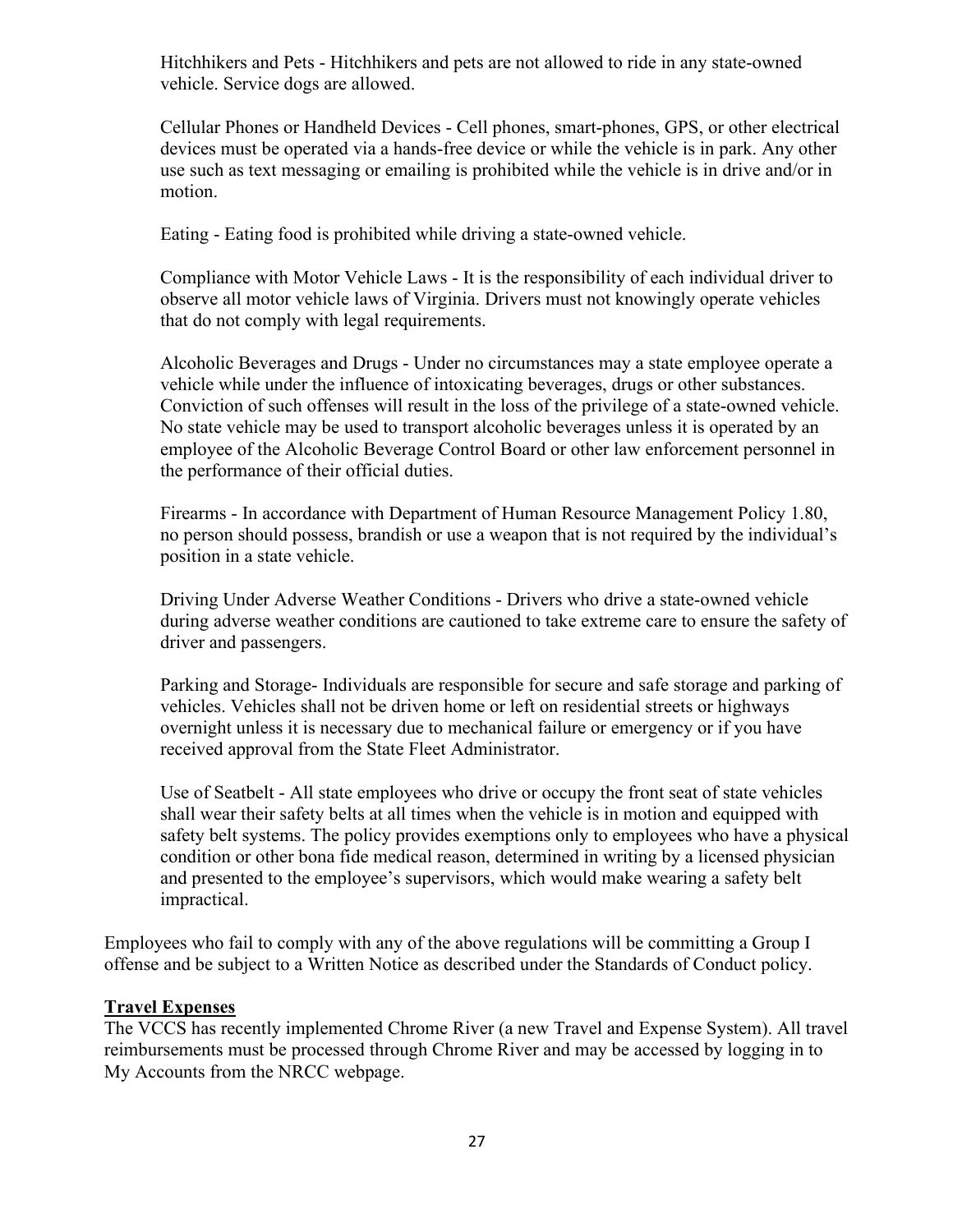<span id="page-26-0"></span>Hitchhikers and Pets - Hitchhikers and pets are not allowed to ride in any state-owned vehicle. Service dogs are allowed.

Cellular Phones or Handheld Devices - Cell phones, smart-phones, GPS, or other electrical devices must be operated via a hands-free device or while the vehicle is in park. Any other use such as text messaging or emailing is prohibited while the vehicle is in drive and/or in motion.

Eating - Eating food is prohibited while driving a state-owned vehicle.

Compliance with Motor Vehicle Laws - It is the responsibility of each individual driver to observe all motor vehicle laws of Virginia. Drivers must not knowingly operate vehicles that do not comply with legal requirements.

Alcoholic Beverages and Drugs - Under no circumstances may a state employee operate a vehicle while under the influence of intoxicating beverages, drugs or other substances. Conviction of such offenses will result in the loss of the privilege of a state-owned vehicle. No state vehicle may be used to transport alcoholic beverages unless it is operated by an employee of the Alcoholic Beverage Control Board or other law enforcement personnel in the performance of their official duties.

Firearms - In accordance with Department of Human Resource Management Policy 1.80, no person should possess, brandish or use a weapon that is not required by the individual's position in a state vehicle.

Driving Under Adverse Weather Conditions - Drivers who drive a state-owned vehicle during adverse weather conditions are cautioned to take extreme care to ensure the safety of driver and passengers.

Parking and Storage- Individuals are responsible for secure and safe storage and parking of vehicles. Vehicles shall not be driven home or left on residential streets or highways overnight unless it is necessary due to mechanical failure or emergency or if you have received approval from the State Fleet Administrator.

 and presented to the employee's supervisors, which would make wearing a safety belt Use of Seatbelt - All state employees who drive or occupy the front seat of state vehicles shall wear their safety belts at all times when the vehicle is in motion and equipped with safety belt systems. The policy provides exemptions only to employees who have a physical condition or other bona fide medical reason, determined in writing by a licensed physician impractical.

Employees who fail to comply with any of the above regulations will be committing a Group I offense and be subject to a Written Notice as described under the Standards of Conduct policy.

#### **Travel Expenses**

The VCCS has recently implemented Chrome River (a new Travel and Expense System). All travel reimbursements must be processed through Chrome River and may be accessed by logging in to My Accounts from the NRCC webpage.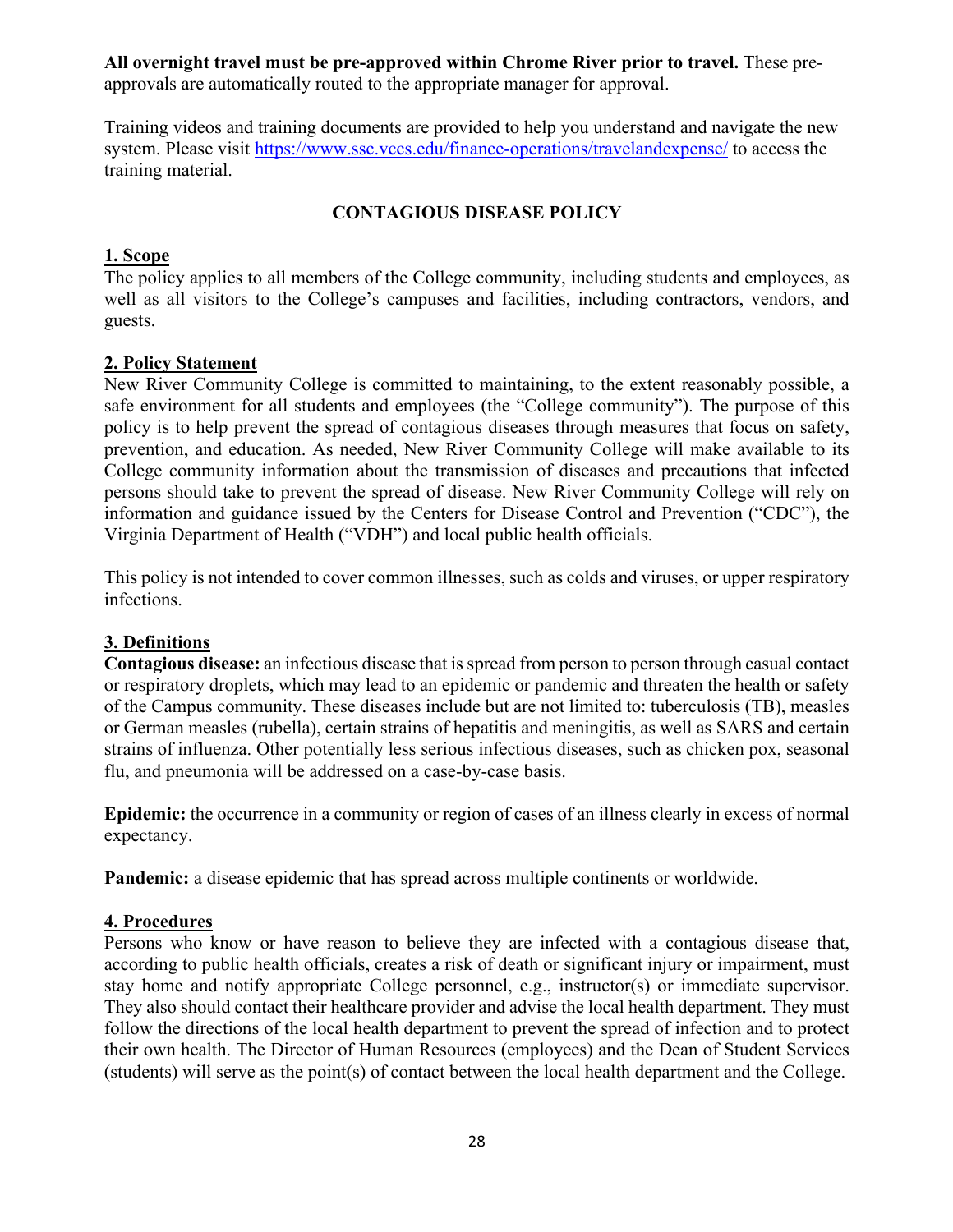<span id="page-27-0"></span> approvals are automatically routed to the appropriate manager for approval. **All overnight travel must be pre-approved within Chrome River prior to travel.** These pre-

Training videos and training documents are provided to help you understand and navigate the new system. Please visit<https://www.ssc.vccs.edu/finance-operations/travelandexpense/>to access the training material.

# **CONTAGIOUS DISEASE POLICY**

#### **1. Scope**

 well as all visitors to the College's campuses and facilities, including contractors, vendors, and The policy applies to all members of the College community, including students and employees, as guests.

#### **2. Policy Statement**

New River Community College is committed to maintaining, to the extent reasonably possible, a safe environment for all students and employees (the "College community"). The purpose of this policy is to help prevent the spread of contagious diseases through measures that focus on safety, prevention, and education. As needed, New River Community College will make available to its College community information about the transmission of diseases and precautions that infected persons should take to prevent the spread of disease. New River Community College will rely on information and guidance issued by the Centers for Disease Control and Prevention ("CDC"), the Virginia Department of Health ("VDH") and local public health officials.

This policy is not intended to cover common illnesses, such as colds and viruses, or upper respiratory infections.

# **3. Definitions**

**Contagious disease:** an infectious disease that is spread from person to person through casual contact or respiratory droplets, which may lead to an epidemic or pandemic and threaten the health or safety of the Campus community. These diseases include but are not limited to: tuberculosis (TB), measles or German measles (rubella), certain strains of hepatitis and meningitis, as well as SARS and certain strains of influenza. Other potentially less serious infectious diseases, such as chicken pox, seasonal flu, and pneumonia will be addressed on a case-by-case basis.

**Epidemic:** the occurrence in a community or region of cases of an illness clearly in excess of normal expectancy.

**Pandemic:** a disease epidemic that has spread across multiple continents or worldwide.

#### **4. Procedures**

 their own health. The Director of Human Resources (employees) and the Dean of Student Services Persons who know or have reason to believe they are infected with a contagious disease that, according to public health officials, creates a risk of death or significant injury or impairment, must stay home and notify appropriate College personnel, e.g., instructor(s) or immediate supervisor. They also should contact their healthcare provider and advise the local health department. They must follow the directions of the local health department to prevent the spread of infection and to protect (students) will serve as the point(s) of contact between the local health department and the College.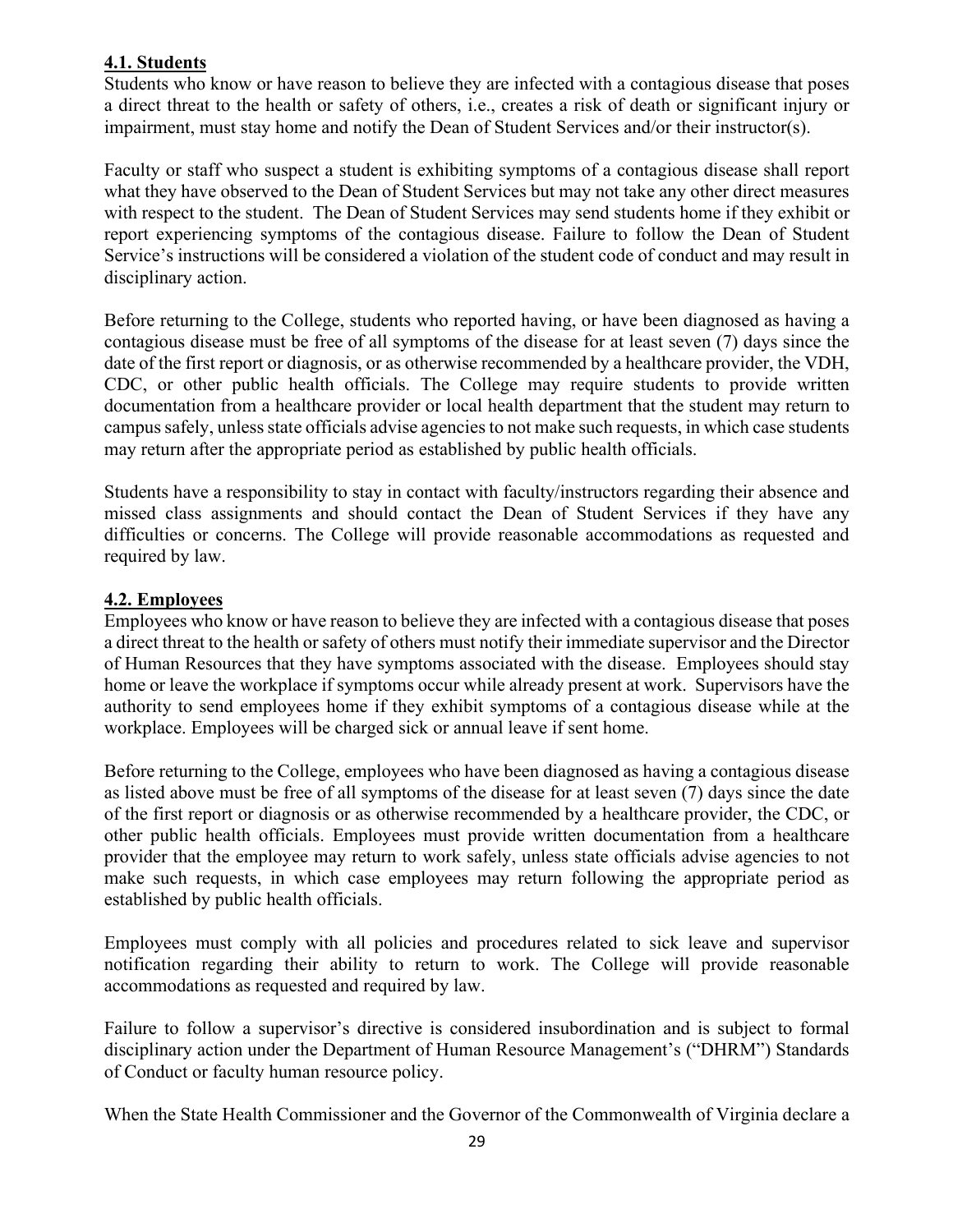## **4.1. Students**

Students who know or have reason to believe they are infected with a contagious disease that poses a direct threat to the health or safety of others, i.e., creates a risk of death or significant injury or impairment, must stay home and notify the Dean of Student Services and/or their instructor(s).

Faculty or staff who suspect a student is exhibiting symptoms of a contagious disease shall report what they have observed to the Dean of Student Services but may not take any other direct measures with respect to the student. The Dean of Student Services may send students home if they exhibit or report experiencing symptoms of the contagious disease. Failure to follow the Dean of Student Service's instructions will be considered a violation of the student code of conduct and may result in disciplinary action.

 contagious disease must be free of all symptoms of the disease for at least seven (7) days since the may return after the appropriate period as established by public health officials. Before returning to the College, students who reported having, or have been diagnosed as having a date of the first report or diagnosis, or as otherwise recommended by a healthcare provider, the VDH, CDC, or other public health officials. The College may require students to provide written documentation from a healthcare provider or local health department that the student may return to campus safely, unless state officials advise agencies to not make such requests, in which case students

 difficulties or concerns. The College will provide reasonable accommodations as requested and Students have a responsibility to stay in contact with faculty/instructors regarding their absence and missed class assignments and should contact the Dean of Student Services if they have any required by law.

#### **4.2. Employees**

 authority to send employees home if they exhibit symptoms of a contagious disease while at the Employees who know or have reason to believe they are infected with a contagious disease that poses a direct threat to the health or safety of others must notify their immediate supervisor and the Director of Human Resources that they have symptoms associated with the disease. Employees should stay home or leave the workplace if symptoms occur while already present at work. Supervisors have the workplace. Employees will be charged sick or annual leave if sent home.

Before returning to the College, employees who have been diagnosed as having a contagious disease as listed above must be free of all symptoms of the disease for at least seven (7) days since the date of the first report or diagnosis or as otherwise recommended by a healthcare provider, the CDC, or other public health officials. Employees must provide written documentation from a healthcare provider that the employee may return to work safely, unless state officials advise agencies to not make such requests, in which case employees may return following the appropriate period as established by public health officials.

Employees must comply with all policies and procedures related to sick leave and supervisor notification regarding their ability to return to work. The College will provide reasonable accommodations as requested and required by law.

Failure to follow a supervisor's directive is considered insubordination and is subject to formal disciplinary action under the Department of Human Resource Management's ("DHRM") Standards of Conduct or faculty human resource policy.

When the State Health Commissioner and the Governor of the Commonwealth of Virginia declare a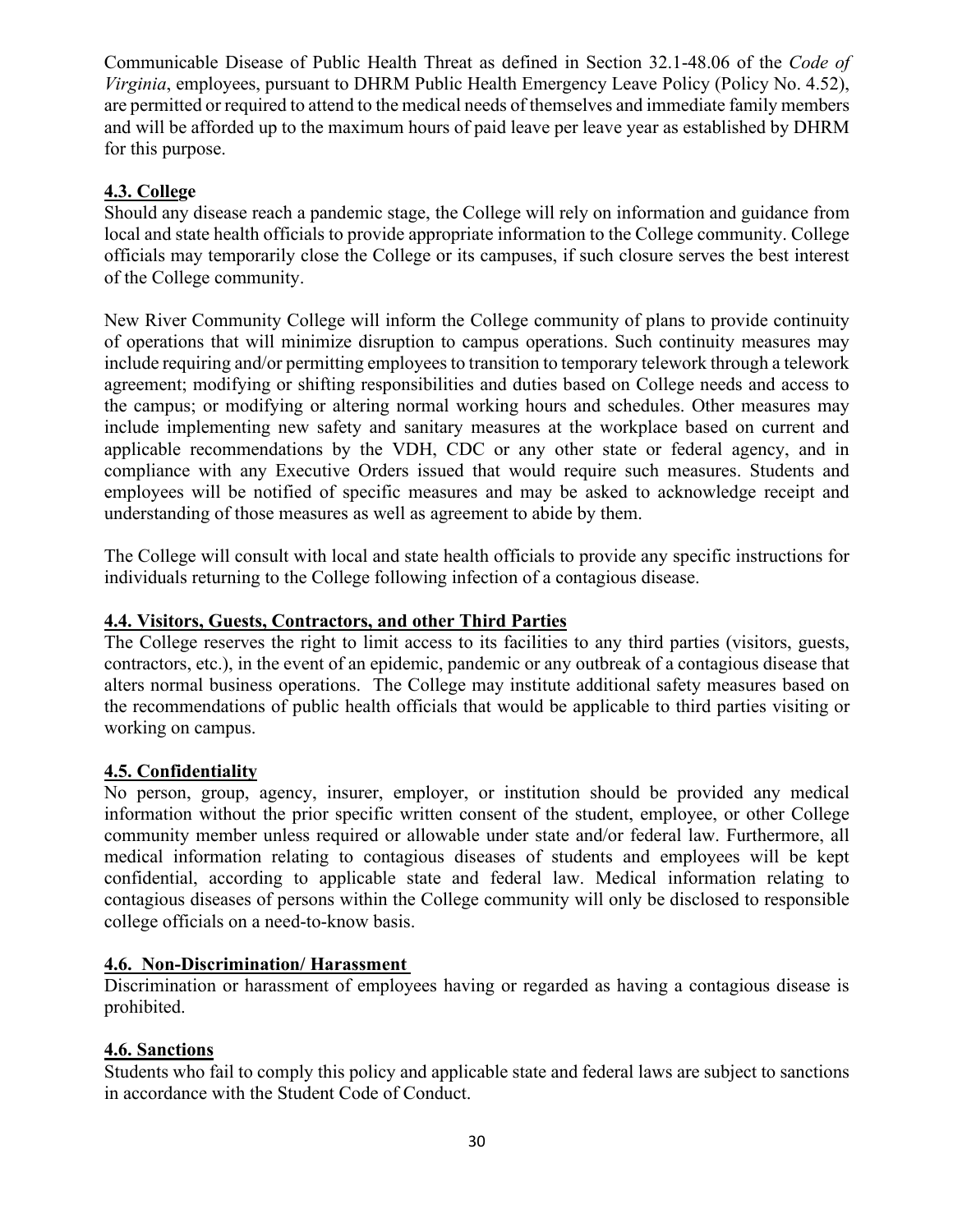and will be afforded up to the maximum hours of paid leave per leave year as established by DHRM Communicable Disease of Public Health Threat as defined in Section [32.1-48.06](https://32.1-48.06) of the *Code of Virginia*, employees, pursuant to DHRM Public Health Emergency Leave Policy (Policy No. 4.52), are permitted or required to attend to the medical needs of themselves and immediate family members for this purpose.

## **4.3. College**

Should any disease reach a pandemic stage, the College will rely on information and guidance from local and state health officials to provide appropriate information to the College community. College officials may temporarily close the College or its campuses, if such closure serves the best interest of the College community.

 agreement; modifying or shifting responsibilities and duties based on College needs and access to include implementing new safety and sanitary measures at the workplace based on current and applicable recommendations by the VDH, CDC or any other state or federal agency, and in employees will be notified of specific measures and may be asked to acknowledge receipt and understanding of those measures as well as agreement to abide by them. New River Community College will inform the College community of plans to provide continuity of operations that will minimize disruption to campus operations. Such continuity measures may include requiring and/or permitting employees to transition to temporary telework through a telework the campus; or modifying or altering normal working hours and schedules. Other measures may compliance with any Executive Orders issued that would require such measures. Students and

The College will consult with local and state health officials to provide any specific instructions for individuals returning to the College following infection of a contagious disease.

## **4.4. Visitors, Guests, Contractors, and other Third Parties**

The College reserves the right to limit access to its facilities to any third parties (visitors, guests, contractors, etc.), in the event of an epidemic, pandemic or any outbreak of a contagious disease that alters normal business operations. The College may institute additional safety measures based on the recommendations of public health officials that would be applicable to third parties visiting or working on campus.

# **4.5. Confidentiality**

No person, group, agency, insurer, employer, or institution should be provided any medical information without the prior specific written consent of the student, employee, or other College community member unless required or allowable under state and/or federal law. Furthermore, all medical information relating to contagious diseases of students and employees will be kept confidential, according to applicable state and federal law. Medical information relating to contagious diseases of persons within the College community will only be disclosed to responsible college officials on a need-to-know basis.

#### **4.6. Non-Discrimination/ Harassment**

Discrimination or harassment of employees having or regarded as having a contagious disease is prohibited.

#### **4.6. Sanctions**

Students who fail to comply this policy and applicable state and federal laws are subject to sanctions in accordance with the Student Code of Conduct.